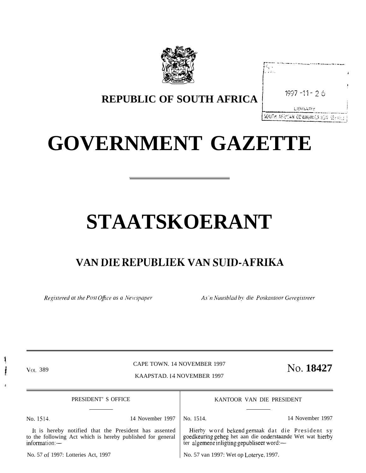

| 1997-11-26                           |  |
|--------------------------------------|--|
|                                      |  |
| LIBRARY                              |  |
| SOUTH AFRICAN COMMINICATION STUDIOLS |  |

# **REPUBLIC OF SOUTH AFRICA**

# **GOVERNMENT GAZETTE**

# **STAATSKOERANT**

# **VAN DIE REPUBLIEK VAN SUID-AFRIKA**

*Registered at the Post Office as a Newspaper As 'n Nuusblad by die Poskantoor Geregistreer* 

! /

+

CAPE TOWN. 14 NOVEMBER 1997 VOL 389 CAPE TOWN. 14 NOVEMBER 1997 NO. **18427** 

KAAPSTAD. 14 NOVEMBER 1997

PRESIDENT' S OFFICE

KANTOOR VAN DIE PRESIDENT

Hierby word bekend gemaak dat die President sy

No. 1514. 14 November 1997 No. 1514. 14 November 1997

It is hereby notified that the President has assented to the following Act which is hereby published for general information: goedkeuring geheg het aan die onderstaande Wet wat hierby ter algemene inligting gepubliseer word:—

No. 57 of 1997: Lotteries Act, 1997

No. 57 van 1997: Wet op Loterye. 1997.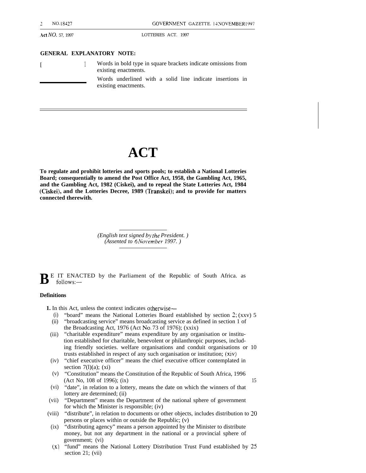#### **GENERAL EXPLANATORY NOTE:**

| Words in bold type in square brackets indicate omissions from<br>existing enactments. |
|---------------------------------------------------------------------------------------|
| Words underlined with a solid line indicate insertions in<br>existing enactments.     |

# **ACT**

**To regulate and prohibit lotteries and sports pools; to establish a National Lotteries Board; consequentially to amend the Post Office Act, 1958, the Gambling Act, 1965, and the Gambling Act, 1982 (Ciskei), and to repeal the State Lotteries Act, 1984 (Ciskei), and the Lotteries Decree, 1989 (Transkei); and to provide for matters connected therewith.**

> *(English text signed b~ the President. ) (Assented to 6 No\wnber 1997. )*

 $\mathbf{B}$ <sup>E</sup> IT ENACTED by the Parliament of the Republic of South Africa. as follows:follows:—

#### **Definitions**

**1.** In this Act, unless the context indicates otherwise—

- (i) "board" means the National Lotteries Board established by section 2; (xxv) 5
- (ii) "broadcasting service" means broadcasting service as defined in section 1 of the Broadcasting Act, 1976 (Act No. 73 of 1976); (xxix)
- (iii) "charitable expenditure" means expenditure by any organisation or institution established for charitable, benevolent or philanthropic purposes, including friendly societies. welfare organisations and conduit organisations or 10 trusts established in respect of any such organisation or institution; (xiv)
- (iv) "chief executive officer" means the chief executive officer contemplated in section  $7(1)(a)$ ; (xi)
- (v) "Constitution" means the Constitution of the Republic of South Africa, 1996 (Act No, 108 of 1996); (ix) 15
- (vi) "date", in relation to a lottery, means the date on which the winners of that lottery are determined; (ii)
- (vii) "Department" means the Department of the national sphere of government for which the Minister is responsible; (iv)
- (viii) "distribute", in relation to documents or other objects, includes distribution to 20 persons or places within or outside the Republic; (v)
- (ix) "distributing agency" means a person appointed by the Minister to distribute money, but not any department in the national or a provincial sphere of government; (vi)
- $(x)$ "fund" means the National Lottery Distribution Trust Fund established by 25 section 21; (vii)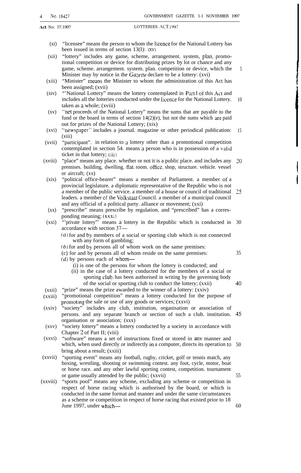- $(x_i)$ "licensee" means the person to whom the Iicence for the National Lottery has been issued in terms of section 13(I): (XV)
- (xii) "lottery" includes any game, scheme, arrangement. system, plan. promotional competition or device for distributing prizes by lot or chance and any game, scheme. arrangement. system. plan. competition or device, which the Minister may by notice in the  $Gazette$  declare to be a lottery: (xvi)
- (xiii) "Minister" means the Minister to whom the administration of this Act has been assigned; (xvii)
- (xiv) "National Lottery" means the lottery contemplated in Part I of this Act and includes all the lotteries conducted under the licence for the National Lottery. taken as a whole; (xviii) 10
- $(xy)$ "net proceeds of the National Lottery" means the sums that are payable to the fund or the board in terms of section  $14(2)(e)$ , but not the sums which are paid out for prizes of the National Lottery; (xix)
- (xvi) '"newspaper" includes a journal. magazine or other periodical publication: (xiii) 15
- (xvii) "participant". in relation to a lottery other than a promotional competition contemplated in section 54. means a person who is in possession of a valid ticket in that lottery; (iii)
- (xviii) "place" means any place. whether or not it is a public place. and includes any premises. building, dwelling. flat. room. offrce. shop, structure. vehicle. vessel or aircraft; (xx) 20
- (xix) "political office-bearer" means a member of Parliament. a member of a provincial legislature. a diplomatic representative of the Republic who is not a member of the public service. a member of a house or council of traditional leaders. a member of the Volkstaat Council. a member of a municipal council and any official of a political party. alliance or movement; (xxi) 25
- $(xx)$ "prescribe" means prescribe by regulation. and "prescribed" has a corresponding meaning; (xxxi)
- $(xxi)$ "'private lottery" means a lottery in the Republic which is conducted in 30 accordance with section 37—
	- $(a)$  for and by members of a social or sporting club which is not connected with any form of gambling;
	- (b) for and by persons all of whom work on the same premises:
	- (c) for and by persons all of whom reside on the same premises:
	- $(d)$  by persons each of whom-
		- (i) is one of the persons for whom the lottery is conducted; and
		- (ii) in the case of a lottery conducted for the members of a social or sporting club, has been authorised in writing by the governing body of the social or sporting club to conduct the lottery; (xxii)
- (xxii) "prize" means the prize awarded to the winner of a lottery: (xxiv)
- (xxiii) "promotional competition" means a lottery conducted for the purpose of promoting the sale or use of any goods or services; (xxvi)
- (xxiv) "society" includes any club, institution, organisation or association of persons. and any separate branch or section of such a club. institution. 45 organisation or association; (xxx)
- (xxv) "society lottery" means a lottery conducted by a society in accordance with Chapter 2 of Part II; (viii)
- (xxvi) "software" means a set of instructions fixed or stored in any manner and which, when used directly or indirectly in a computer, directs its operation to 50 bring about a result; (xxiii)
- (xxvii) "sporting event" means any football, rugby, cricket, golf or tennis match, any boxing, wrestling, shooting or swimming contest. any foot, cycle, motor, boat or horse race. and any other lawful sporting contest, competition. tournament or game usually attended by the public; (xxvii)
- (xxviii) "sports pool" means any scheme, excluding any scheme or competition in respect of horse racing which is authorised by the board, or which is conducted in the same format and manner and under the same circumstances as a scheme or competition in respect of horse racing that existed prior to 18 June 1997, under which—

35

40

55

60

5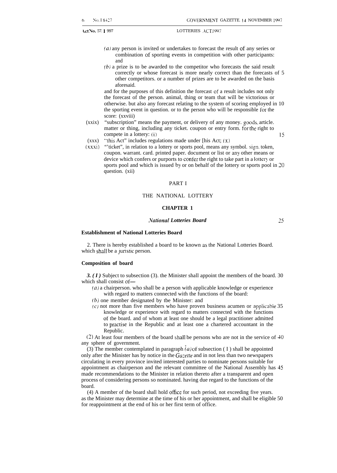- (a) any person is invited or undertakes to forecast the result of any series or combination of sporting events in competition with other participants: and
- *(b)* a prize is to be awarded to the competitor who forecasts the said result correctly or whose forecast is more nearly correct than the forecasts of 5 other competitors. or a number of prizes are to be awarded on the basis aforesaid.

and for the purposes of this definition the forecast of a result includes not only the forecast of the person. animal, thing or team that will be victorious or otherwise. but also any forecast relating to the system of scoring employed in 10 the sporting event in question. or to the person who will be responsible for the score: (xxviii)

- (xxix) "subscription" means the payment, or delivery of any money. goods. article. matter or thing, including any ticket. coupon or entry form. for the right to compete in a lottery: (i)  $15$
- $(xxx)$  "this Act" includes regulations made under [his Act;  $(x)$ ]
- (xxxi) "'ticket", in relation to a lottery or sports pool, means any symbol. sign. token, coupon. warrant. card. printed paper. document or list or any other means or device which confers or purports to confer the right to take part in a lottery or sports pool and which is issued by or on behalf of the lottery or sports pool in 20 question. (xii)

#### PART I

#### THE NATIONAL LOTTERY

#### **CHAPTER 1**

#### *ivational Lotteries Board 25*

**Establishment of National Lotteries Board**

2. There is hereby established a board to be known as the National Lotteries Board. which shall be a juristic person.

#### **Composition of board**

**3.** (**I**) Subject to subsection (3). the Minister shall appoint the members of the board. 30 which shall consist of—

- $(a)$  a chairperson. who shall be a person with applicable knowledge or experience with regard to matters connected with the functions of the board:
- (b) one member designated by tbe Minister: and
- (c) not more than five members who have proven business acumen or applicable  $35$ knowledge or experience with regard to matters connected with the functions of tbe board. and of whom at least one should be a legal practitioner admitted to practise in the Republic and at least one a chartered accountant in the Republic.

(2) At least four members of the board shall be persons who are not in the service of 40 any sphere of government.

(3) The member contemplated in paragraph  $(a)$  of subsection (I) shall be appointed only after the Minister has by notice in the Gazette and in not less than two newspapers circulating in every province invited interested parties to nominate persons suitable for appointment as chairperson and the relevant committee of the National Assembly has 45 made recommendations to the Minister in relation thereto after a transparent and open process of considering persons so nominated. having due regard to the functions of the board.

(4) A member of the board shall hold ofice for such period, not exceeding five years. as the Minister may determine at the time of his or her appointment, and shall be eligible 50 for reappointment at the end of his or her first term of office.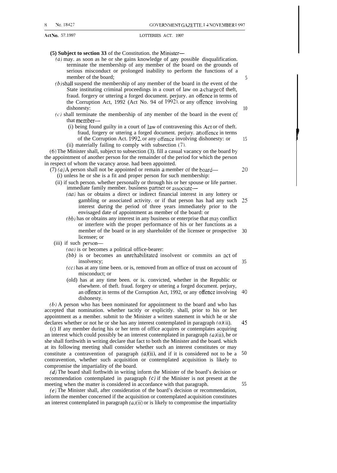#### **(5) Subject to section 33** of the Constitution. the Minister—

- $(a)$  may. as soon as he or she gains knowledge of any possible disqualification. terminate the membership of any member of the board on the grounds of serious misconduct or prolonged inability to perform the functions of a member of the board;
- $(b)$ shall suspend the membership of any member of the board in the event of the State instituting criminal proceedings in a court of law on a charge of theft, fraud. forgery or uttering a forged document. perjury. an offence in terms of the Corruption Act, 1992 (Act No. 94 of 1992). or any offence involving dishonesty:
- $(c)$  shall terminate the membership of any member of the board in the event of that member—
	- $(i)$  being found guilty in a court of law of contravening this Act or of theft. fraud, forgery or uttering a forged document. perjury. an otfence in terms of the Corruption Act. 1992, or any offence involving dishonesty: or (ii) materially failing to comply with subsection (7).

(6) The Minister shall, subject to subsection (3). fill a casual vacancy on the board by the appointment of another person for the remainder of the period for which the person in respect of whom the vacancy arose. had been appointed.

- $(7)$  (a) A person shall not be appointed or remain a member of the board— (i) unless he or she is a fit and proper person for such membership:
	- (ii) if such person. whether personally or through his or her spouse or life partner. immediate family member. business partner or associate-
		- $(aa)$  has or obtains a direct or indirect financial interest in any lottery or gambling or associated activity. or if that person has had any such interest during the period of three years immediately prior to the envisaged date of appointment as member of the board: or 25
		- $(bb)$  has or obtains any interest in any business or enterprise that may conflict or interfere with the proper performance of his or her functions as a member of the board or in any shareholder of the licensee or prospective 30 licensee; or
	- (iii) if such person—
		- $(aa)$  is or becomes a political office-bearer:
		- *(bb)* is or becomes an unrehabilitated insolvent or commits an act of insolvency;
		- $(cc)$  has at any time been. or is, removed from an office of trust on account of misconduct; or
		- (old) has at any time been. or is. convicted, whether in the Republic or elsewhere. of theft. fraud. forgery or uttering a forged document. perjury, an offence in terms of the Corruption Act, 1992, or any offence involving dishonesty. 40

*(b)* A person who has been nominated for appointment to the board and who has accepted that nomination. whether tacitly or explicitly. shall, prior to his or her appointment as a member. submit to the Minister a written statement in which he or she declares whether or not he or she has any interest contemplated in paragraph  $(a)(ii)$ .

(c) If any member during his or her term of office acquires or contemplates acquiring an interest which could possibly be an interest contemplated in paragraph  $(a)(ii)$ , he or she shall forthwith in writing declare that fact to both the Minister and the board. which at its following meeting shall consider whether such an interest constitutes or may constitute a contravention of paragraph  $(a)(ii)$ , and if it is considered not to be a contravention, whether such acquisition or contemplated acquisition is likely to compromise the impartiality of the board. '45 50

*(d)* The board shall forthwith in writing inform the Minister of the board's decision or recommendation contemplated in paragraph  $(c)$  if the Minister is not present at the meeting when the matter is considered in accordance with that paragraph.

(e) The Minister shall, after consideration of the board's decision or recommendation, inform the member concerned if the acquisition or contemplated acquisition constitutes an interest contemplated in paragraph  $(a)(ii)$  or is likely to compromise the impartiality

20

35

5

10

15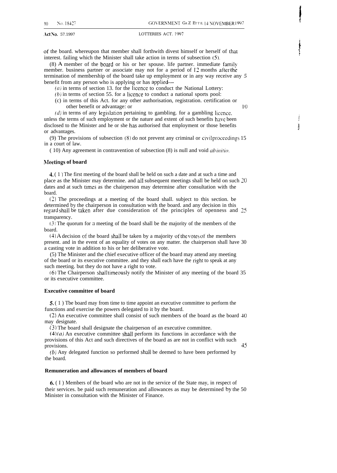of the board. whereupon that member shall forthwith divest himself or herself of that interest. failing which the Minister shall take action in terms of subsection (5).

(8) A member of the board or his or her spouse. life partner. immediate family member. business partner or associate may not for a period of 12 months after the termination of membership of the board take up employment or in any way receive any *5* benefit from any person who is applying or has applied—

- $(a)$  in terms of section 13. for the licence to conduct the National Lottery:
- $(b)$  in terms of section 55. for a licence to conduct a national sports pool:
- (c) in terms of this Act. for any other authorisation, registration. certification or other benefit or advantage: or 10

 $(d)$  in terms of any legislation pertaining to gambling. for a gambling licence. unless the terms of such employment or the nature and extent of such benefits have been disclosed to the Minister and he or she has authorised that employment or those benefits or advantages.

(9) The provisions of subsection  $(8)$  do not prevent any criminal or civil proceedings 15 in a court of law.

 $(10)$  Any agreement in contravention of subsection  $(8)$  is null and void *ab initio*.

#### **kleetings of board**

4. ( 1 ) The first meeting of the board shall be held on such a date and at such a time and place as the Minister may determine. and all subsequent meetings shall be held on such 20 dates and at such times as the chairperson may determine after consultation with the board.

(2) The proceedings at a meeting of the board shall. subject to this section. be determined by the chairperson in consultation with the board. and any decision in this regard shall be taken after due consideration of the principles of openness and 25 transparency.

(3) The quorum for a meeting of the board shall be the majority of the members of the board.

(4) A decision of the board shall be taken by a majority of the votes of the members present. and in the event of an equality of votes on any matter. the chairperson shall have 30 a casting vote in addition to his or her deliberative vote.

(5) The Minister and the chief executive officer of the board may attend any meeting of the board or its executive committee. and they shall each have the right to speak at any such meeting. but they do not have a right to vote.

(6) The Chairperson shall timeously notify the Minister of any meeting of the board 35 or its executive committee.

#### **Executive committee of board**

5. (1) The board may from time to time appoint an executive committee to perform the functions and exercise the powers delegated to it by the board.

(2) An executive committee shall consist of such members of the board as the board 40 may designate.

(3) The board shall designate the chairperson of an executive committee.

 $(4)(a)$  An executive committee shall perform its functions in accordance with the provisions of this Act and such directives of the board as are not in conflict with such provisions. And the contract of the contract of the contract of the contract of the contract of the contract of the contract of the contract of the contract of the contract of the contract of the contract of the contract o

(b) Any delegated function so performed shall be deemed to have been performed by the board.

#### **Remuneration and allowances of members of board**

6. ( I ) Members of the board who are not in the service of the State may, in respect of their services. be paid such remuneration and allowances as may be determined by the 50 Minister in consultation with the Minister of Finance.

**!**

ļ

Ì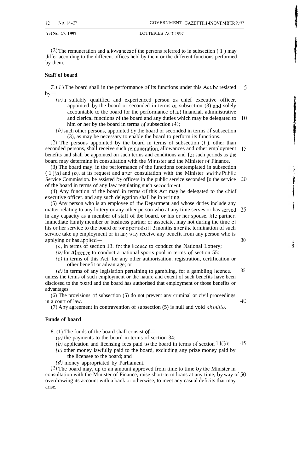(2) The remuneration and allowances of the persons referred to in subsection ( 1 ) may differ according to the different offices held by them or the different functions performed by them.

#### **Stati of board**

*7. ( 1 )* The board shall in the performance of its functions under this Act. be resisted by— 5

- $(a)$  a suitably qualified and experienced person as chief executive officer. appointed by the board or seconded in terms of subsection (3) and solely accountable to the board for the performance of all financial. administrative and clerical functions of the board and any duties which may be delegated to 10 him or her by the board in terms of subsection  $(4)$ ;
- (b) such other persons, appointed by the board or seconded in terms of' subsection (3), as may be necessary to enable the board to perform its functions.

(2) The persons appointed by the board in terms of subsection  $(1)$ . other than seconded persons, shall receive such remuneration, allowances and other employment 15 benefits and shall be appointed on such terms and conditions and for such periods as the board may determine in consultation with the Minister and the Minister of Finance.

(3) The board may. in the performance of the functions contemplated in subsection  $(1)(a)$  and  $(b)$ , at its request and after consultation with the Minister and the Public Service Commission. be assisted by officers in the public service seconded [o the service 20 of the board in terms of any law regulating such secondment.

(4) Any function of the board in terms of this Act may be delegated to the chief executive officer. and any such delegation shall be in writing.

(5) Any person who is an employee of tbe Department and whose duties include any matter relating to any lottery or any other person who at any time serves or has served 25 in any capacity as a member of staff of tbe board. or his or her spouse. life partner. immediate family member or business partner or associate. may not during the time of his or her service to the board or for a period of 12 months after the termination of such service take up employment or in any way receive any benefit from any person who is applying or has applied— 30

 $(a)$  in terms of section 13. for the licence to conduct the National Lottery;

 $(b)$  for a licence to conduct a national sports pool in terms of section 55:

 $(c)$  in terms of this Act. for any other authorisation. registration, certification or other benefit or advantage; or

*(d)* in terms of any legislation pertaining to gambling. for a gambling licence. unless the terms of such employment or the nature and extent of such benefits have been disclosed to the board and the board has authorised that employment or those benefits or advantages.

(6) The provisions of subsection (5) do not prevent any criminal or civil proceedings in a court of law.

(7) Any agreement in contravention of subsection  $(5)$  is null and void *ab initio*.

#### **Funds of board**

8. (1) The funds of the board shall consist of—

 $(a)$  the payments to the board in terms of section 34;

*(b)* application and licensing fees paid to the board in terms of section  $14(3)$ ; 45

- (c) other money lawfully paid to the board, excluding any prize money paid by the licensee to the board; and
- (d) money appropriated by Parliament.

(2) The board may, up to an amount approved from time to time by tbe Minister in consultation with the Minister of Finance, raise short-term loans at any time, by way of 50 overdrawing its account with a bank or otherwise, to meet any casual deficits that may arise.

医第

35

-10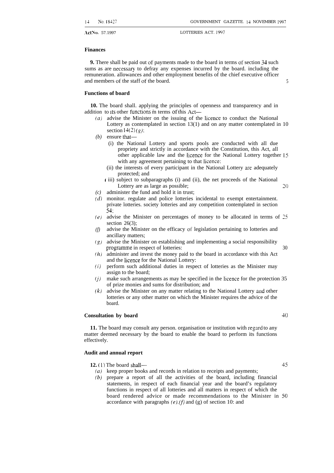#### **Finances**

**9.** There shall be paid out of payments made to the board in terms of section 34 such sums as are necessary to defray any expenses incurred by the board. including the remuneration. allowances and other employment benefits of the chief executive officer and members of the staff of the board. 5

#### **Functions of board**

**10.** The board shall. applying the principles of openness and transparency and in addition to its other functions m terms of this Act-

- $(a)$  advise the Minister on the issuing of the licence to conduct the National Lottery as contemplated in section 13(1) and on any matter contemplated in 10 section  $14(2)(g)$ ;
- *(b)* ensure that—
	- (i) the National Lottery and sports pools are conducted with all due propriety and strictly in accordance with the Constitution, this Act, all other applicable law and the Iicence for the National Lottery together 15 with any agreement pertaining to that Iicence:
	- (ii) the interests of every participant in the National Lottery are adequately protected; and
	- ( iii) subject to subparagraphs (i) and (ii), the net proceeds of the National Lottery are as large as possible; 20
- *(c)* administer the fund and hold it in trust;
- *(d)* monitor. regulate and police lotteries incidental to exempt entertainment. private lotteries. society lotteries and any competition contemplated in section 54;
- *(e)* advise the Minister on percentages of money to be allocated in terms of *25* section  $26(3)$ ;
- *(f)* advise the Minister on the efficacy of legislation pertaining to lotteries and ancillary matters;
- *('s')* advise the Minister on establishing and implementing a social responsibility programme in respect of lotteries: 30
- *(h)* administer and invest the money paid to the board in accordance with this Act and the licence for the National Lottery:
- *(i)* perform such additional duties in respect of lotteries as the Minister may assign to the board;
- *(j)* make such arrangements as may be specified in the licence for the protection 35 of prize monies and sums for distribution; and
- *(k)* advise the Minister on any matter relating to the National Lottery and other lotteries or any other matter on which the Minister requires the advice of the board.

#### **Consultation by board 40**

**11.** The board may consult any person. organisation or institution with regard to any matter deemed necessary by the board to enable the board to perform its functions effectively.

#### **Audit and annual report**

**12. (1)** The board shall— 45

- ( $a$ ) keep proper books and records in relation to receipts and payments;
- $(b)$  prepare a report of all the activities of the board, including financial statements, in respect of each financial year and the board's regulatory functions in respect of all lotteries and all matters in respect of which the board rendered advice or made recommendations to the Minister in 50 accordance with paragraphs (e), *(f)* and (g) of section 10: and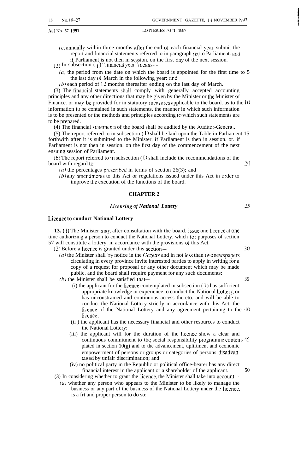$(c)$  annually within three months after the end of each financial year, submit the report and financial statements referred to in paragraph  $(b)$  to Parliament. and if Parliament is not then in session. on the first day of the next session.

 $(2)$  In subsection  $(1)$  "financial year" means-

 $(a)$  the period from the date on which the board is appointed for the first time to 5 the last day of March in the following year: md

 $(b)$  each period of 12 months thereafter ending on the last day of March.

(3) The tinancial statements shall comply with generally accepted accounting principles and any other directions that may be given by the Minister or the Minister of Finance. or may be provided for in statutory measures applicable to the board. as to the  $10$ information [o be contained in such statements. the manner in which such information is to be presented or the methods and principles according *to* which such statements are to be prepared.

(4) The financial statements of the board shall be audited by the Auditor-General.

(5) The report referred to in subsection  $(1)$  shall be laid upon the Table in Parliament 15 forthwith after it is submitted to the Minister. if Parliament is then in session. or. if Parliament is not then in session. on the tirst day of the commencement of the next ensuing session of Parliament.

(6) The report referred to in subsection (1) shall include the recommendations of the board with regard to  $-$  20

(a) the percentages prescribed in terms of section 26(3); and

 $(b)$  any amendments to this Act or regulations issued under this Act in order to improve the execution of the functions of the board.

#### **CHAPTER 2**

#### *Licensirzg of National Lottery*

#### **Licence to conduct National Lottery**

**13.** (1) The Minister may, after consultation with the board. issue one licence at one time authorizing a person to conduct the National Lottery. which for purposes of section 57 will constitute a lottery. in accordance with the provisions of this Act. (2) Before a licence is granted under this section— 30

(a) the Minister shall by notice in the  $Gazette$  and in not less than two newspapers circulating in every province invite interested parties to apply in writing for a copy of a request for proposal or any other document which may be made public. and the board shall require payment for any such documents:

 $(b)$  the Minister shall be satisfied that— $35$ 

- $(i)$  the applicant for the licence contemplated in subsection  $(1)$  has sufficient appropriate knowledge or experience to conduct the National Lottery, or has unconstrained and continuous access thereto. and will be able to conduct the National Lottery strictly in accordance with this Act, the licence of the National Lottery and any agreement pertaining to the 40 licence;
- (ii ) the applicant has the necessary financial and other resources to conduct the National Lottery:
- (iii) the applicant will for the duration of the Iicence show a clear and continuous commitment to the social responsibility programme contem- 45 plated in section 10(g) and to the advancement, upliftment and economic empowerment of persons or groups or categories of persons disadvmtaged by unfair discrimination; and
- (iv) no political party in the Republic or political office-bearer has any direct financial interest in the applicant or a shareholder of the applicant. 50
- (3) In considering whether to grant the *hcence,* the Minister shall take into account—
- $(a)$  whether any person who appears to the Minister to be likely to manage the business or any part of the business of the National Lottery under the licence. is a frt and proper person to do so:

 $25$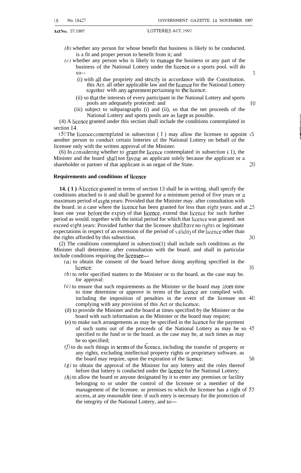- *(b)* whether any person for whose benefit that business is likely to be conducted. is a fit and proper person to benefit from it; and
- $(c)$  whether any person who is likely to manage the business or any part of the business of the National Lottery under the Iicence or a sports pool. will do  $\text{so--}$  5
	- (i) with all due propriety and strictly in accordance with the Constitution. this Act. all other applicable law and the licence for the National Lottery together with any agreement pertaining to the licence;
	- (ii) so that the interests of every participant in the National Lottery and sports pools are adequately protected: and 10
	- (iii) subject to subparagraphs (i) and (ii), so that the net proceeds of the National Lottery and sports pools are as large as possible.

(4) A Iicence granted under this section shall include the conditions contemplated in section 14.

(5) The licence contemplated in subsection  $(1)$  may allow the licensee to appoint 15 another person to conduct certain lotteries of the National Lottery on behalf of the licensee only with the written approval of the Minister.

(6) In considering whether to grant the licence contemplated in subsection  $( 1)$ , the Minister and the board shall not favour an applicant solely because the applicant or a shareholder or partner of that applicant is an organ of the State. 20

#### **Requirements and conditions of licenee**

**14. ( 1 ) A** Iicence granted in terms of section 13 shall be in writing. shall specify the conditions attached to it and shall be granted for a minimum period of five years or a maximum period of eight years: Provided that the Minister may. after consultation with the board. in a case where the Iicence has been granted for less than eight years. and at 25 least one year before the expiry of that licence. extend that licence for such further period as would. together with the initial period for which that licence was granted. not exceed eight years: Provided further that the licensee shall have no rights or legitimate expectations in respect of an extension of the period of kalidit) of the licence other than the rights afforded by this subsection. 30

(2) The conditions contemplated in subsection(1) shall include such conditions as the Minister shall determine. after consultation with the board. and shall in particular include conditions requiring the licensee—

- (a) to obtain the consent of the board before doing anything specified in the licence: 35
- $(b)$  to refer specified matters to the Minister or to the board. as the case may be. for approval:
- $(c)$  to ensure that such requirements as the Minister or the board may trom time to time determine or approve in terms of the Iicence are complied with. including the imposition of penalties in the event of the licensee not 40 complying with any provision of this Act or the licence;
- (d) to provide the Minister and the board at times specified by the Minister or the board with such information as the Minister or the board may require;
- (e) to make such arrangements as may be specified in the Iicence for the payment of such sums out of the proceeds of the National Lottery as may be so 45 specified to the fund or to the board. as the case may be, at such times as may be so specified;
- $V(t)$  to do such things in terms of the licence, including the transfer of property or any rights, excluding intellectual property rights or proprietary software. as the board may require, upon the expiration of the licence; 50
- $(g)$  to obtain the approval of the Minister for any lottery and the roles thereof before that lottery is conducted under the Iicence for the National Lottery;
- $(h)$  to allow the board or anyone designated by it to enter any premises or facility belonging to or under the control of the licensee or a member of the management of the licensee. or premises to which the licensee has a right of 55 access, at any reasonable time. if such entry is necessary for the protection of the integrity of the National Lottery, and to—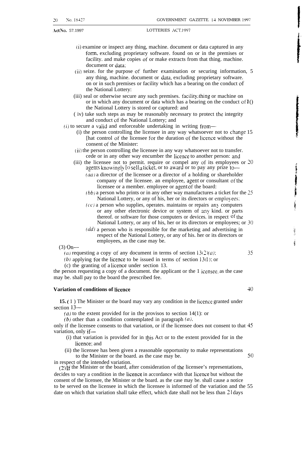- (i) examine or inspect any thing, machine. document or data captured in any form. excluding proprietary software. found on or in the premises or facility. and make copies of or make extracts from that thing. machine. document or data:
- (ii) seize. for the purpose of further examination or securing information, 5 any thing, machine. document or data, excluding proprietary software. on or in such premises or facility which has a bearing on the conduct of the National Lottery:
- (iii) seal or otherwise secure any such premises. faciIity, thing or machine on or in which any document or data which has a bearing on the conduct of  $1()$ the National Lottery is stored or captured: and
- ( iv) take such steps as may be reasonably necessary to protect the integrity and conduct of the National Lottery; and

 $(i)$  to secure a valid and enforceable undertaking in writing from—

- (i) the person controlling the licensee in any way whatsoever not to change 15 [hat control of the licensee for the duration ot' the licence without the consent of the Minister:
- (ii) the person controlling the licensee in any way whatsoever not to transfer. cede or in any other way encumber the licence to another person: and
- (iii) the licensee not to permit. require or compel any of its employees or 20 agents knowingly [O sell a ticket, or to award or to pay any prize to- $(aa)$  a director of the licensee or a director of a holding or shareholder company of the licensee. an employee, agent or consultant of the
	- licensee or a member. employee or agent of the board: *(bb)* a person who prints or in any other way manufactures a ticket for the 25 National Lottery, or any of his, her or its directors or employees:
	- $(c)$  a person who supplies, operates. maintains or repairs any computers or any other electronic device or system of any kind. or parts thereof. or software for those computers or devices. in respect of the National Lottery, or any of his, her or its directors or employees; or 30
	- $\left(\frac{dd}{dx}\right)$  a person who is responsible for the marketing and advertising in respect of the National Lottery, or any of his. her or its directors or employees, as the case may be.

 $(3)$  On-

(a) requesting a copy of any document in terms of section  $13(2)(a)$ : 35

(b) applying for the licence to be issued in terms of section  $13(1)$ ; or

(c) the granting of a Iicence under section 13.

the person requesting a copy of a document. the applicant or the 1 icensee. as the case may be. shall pay to the board the prescribed fee.

### **Variation of conditions of licence 40**

**15. (** 1 ) The Minister or the board may vary any condition in the Iicence granted under section 13—

(a) to the extent provided for in the provisos to section  $14(1)$ : or

 $(b)$  other than a condition contemplated in paragraph  $(a)$ ,

only if the licensee consents to that variation, or if the licensee does not consent to that 45 variation, only if—

(i) that variation is provided for in this Act or to the extent provided for in the licence; and

(ii) the licensee has been given a reasonable opportunity to make representations to the Minister or the board. as the case may be. 50 in respect of the intended variation.

 $(2)$  [f the Minister or the board, after consideration of the licensee's representations, decides to vary a condition in the Iicence in accordance with that licence but without the consent of the licensee, the Minister or the board. as the case may be. shall cause a notice to be served on the licensee in which the licensee is informed of the variation and the 55 date on which that variation shall take effect, which date shall not be less than  $21$  days

ś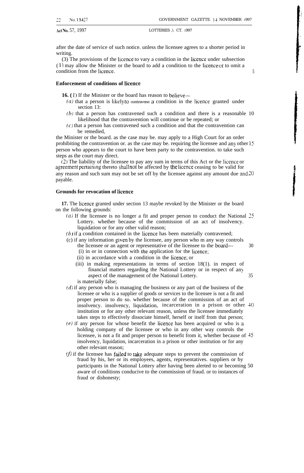Act No. 57, 1997 LOTTERIES , \ CT. 1997

after the date of service of such notice. unless the licensee agrees to a shorter period in writing.

(3) The provisions of the Iicence to vary a condition in the licence under subsection ( 1) may allow the Minister or the board to add a condition to the Iicence or to omit a condition from the licence. 5

#### **Enforcement of conditions of licence**

**16.** (1) If the Minister or the board has reason to believe—

- $(a)$  that a person is likely to contravene a condition in the licence granted under section 13:
- (b) that a person has contravened such a condition and there is a reasonable 10 likelihood that the contravention will continue or be repeated; or
- $(c)$  that a person has contravened such a condition and that the contravention can be remedied,

the Minister or the board. as the case may be. may apply to a High Court for an order prohibiting the contravention or. as the case may be. requiring the licensee and any other 15 person who appears to the court to have been party to the contravention. to take such steps as the court may direct.

(2) The liability of the licensee to pay any sum in terms of this Act or the Iicence or agreement pertaining thereto shall not be affected by the licence ceasing to be valid for any reason and such sum may not be set off by the licensee against any amount due md 20 payable.

#### **Grounds for revocation of licence**

**17.** The Iicence granted under section 13 maybe revoked by the Minister or the board on the following grounds:

- (a) If the licensee is no longer a fit and proper person to conduct the National 25 Lottery. whether because of the commission of an act of insolvency. liquidation or for any other valid reason;
- $(b)$  if a condition contained in the licence has been materially contravened;
- (c) if any information given by the licensee, any person who m any way controls
	- the licensee or an agent or representative of the licensee to the board— 30
	- (i) in or in connection with the application for the licence;
	- (ii) in accordance with a condition in the Iicence; or
	- (iii) in making representations in terms of section 18(1). in respect of financial matters regarding the National Lottery or in respect of any aspect of the management of the National Lottery. 35 is materially false;
- $(d)$  if any person who is managing the business or any part of the business of the licensee or who is a supplier of goods or services to the licensee is not a fit and proper person to do so. whether because of the commission of an act of insolvency. insolvency, liquidation, incarceration in a prison or other 40 institution or for any other relevant reason, unless the licensee immediately takes steps to effectively dissociate himself, herself or itself from that person;
- $(e)$  if any person for whose benefit the licence has been acquired or who is a holding company of the licensee or who in any other way controls the licensee, is not a fit and proper person to benefit from it, whether because of 45 insolvency, liquidation, incarceration in a prison or other institution or for any other relevant reason;
- $(f)$  if the licensee has failed to take adequate steps to prevent the commission of fraud by his, her or its employees, agents, representatives. suppliers or by participants in the National Lottery after having been alerted to or becoming 50 aware of conditions conducive to the commission of fraud. or to instances of fraud or dishonesty;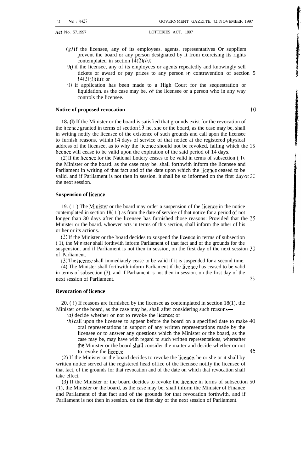- $(g)$  if the licensee, any of its employees. agents. representatives Or suppliers prevent the board or any person designated by it from exercising its rights contemplated in section  $(4(2)(h))$ .
- $(h)$  if the licensee, any of its employees or agents repeatedly and knowingly sell tickets or award or pay prizes to any person in contravention of section 5  $14(2)(i)(iii)$ ; or
- $(i)$  if application has been made to a High Court for the sequestration or liquidation. as the case may be, of the licensee or a person who in any way controls the licensee.

### **Notice of proposed revocation** 10

**18. (l)** If the Minister or the board is satisfied that grounds exist for the revocation of the licence granted in terms of section  $13$ . he, she or the board, as the case may be, shall in writing notify the licensee of the existence of such grounds and call upon the licensee to furnish reasons. within 14 days of service of that notice at the registered physical address of the licensee, as to why the licence should not be revoked, failing which the 15 licence will cease to be valid upon the expiration of the said period of 14 days.

(2) If the licence for the National Lottery ceases to be valid in terms of subsection (1). the Minister or the board. as the case may be. shall forthwith inform the licensee and Parliament in writing of that fact and of the date upon which the licence ceased to be valid. and if Parliament is not then in session. it shall be so informed on the first day of 20 the next session.

#### **Suspension of licence**

19.  $(1)$  The Minister or the board may order a suspension of the licence in the notice contemplated in section 18( 1 ) as from the date of service of that notice for a period of not longer than 30 days after the licensee has furnished those reasons: Provided that the 25 Minister or the board. whoever acts in terms of this section, shall inform the other of his or her or its actions.

(2) If the Minister or the board decides to suspend the Iicence in terms of subsection  $(1)$ , the Minister shall forthwith inform Parliament of that fact and of the grounds for the suspension. and if Parliament is not then in session, on the first day of the next session 30 of Parliament.

(3) The licence shall immediately cease to be valid if it is suspended for a second time.

(4) The Minister shall forthwith inform Parliament if the licence has ceased to be valid in terms of subsection (3). and if Parliament is not then in session. on the first day of the next session of Parliament. 35

#### **Revocation of licence**

20.  $(1)$  If reasons are furnished by the licensee as contemplated in section 18(1), the Minister *or* the board, as the case may be, shall after considering such reasons—

(a) decide whether or not to revoke the licence; or

 $(b)$  call upon the licensee to appear before the board on a specified date to make  $40$ oral representations in support of any written representations made by the licensee or to answer any questions which the Minister or the board, as the case may be, may have with regard to such written representations, whereafter the Minister or the board shall consider the matter and decide whether or not to revoke the licence. 45

(2) If the Minister or the board decides to revoke the licence, he or she or it shall by written notice served at the registered head office of the licensee notify the licensee of that fact, of the grounds for that revocation and of the date on which that revocation shall take effect.

(3) If the Minister or the board decides to revoke the licence in terms of subsection 50 (1), the Minister or the board, as the case may be, shall inform the Minister of Finance and Parliament of that fact and of the grounds for that revocation forthwith, and if Parliament is not then in session. on the first day of the next session of Parliament.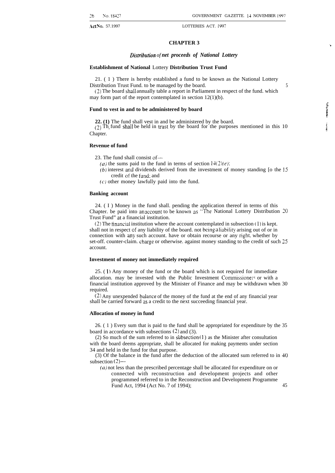#### **CHAPTER 3** ..

#### *Distribution* of net proceeds of National Lottery

#### **Establishment of National** Lottery **Distribution Trust Fund**

21. ( 1 ) There is hereby established a fund to be known as the National Lottery Distribution Trust Fund. to be managed by the board. 5

(2) The board shall annually table a report in Parliament in respect of the fund. which may form part of the report contemplated in section 12(1)(b).

#### **Fund to vest in and to be administered by board**

**22. (1)** The fund shall vest in and be administered by the board. (2) Th fund shall be held in trust by the board for the purposes mentioned in this 10 Chapter.

#### **Revenue of fund**

23. The fund shall consist of—

- (a) the sums paid to the fund in terms of section  $14(2)(e)$ :
- $(b)$  interest and dividends derived from the investment of money standing [o the  $15$ credit of the fund: and
- $(c)$  other money lawfully paid into the fund.

#### **Banking account**

24. ( I ) Money in the fund shall. pending the application thereof in terms of this Chapter. be paid into an account to be known as "The National Lottery Distribution 20 Trust Fund" at a financial institution.

 $(2)$  The financial institution where the account contemplated in subsection (1) is kept. shall not in respect of any liability of the board. not being a liability arising out of or in connection with any such account. have or obtain recourse or any right. whether by set-off. counter-claim. charge or otherwise. against money standing to the credit of such 25 account.

#### **Investment of money not immediately required**

25. ( 1 ) Any money of the fund or the board which is not required for immediate allocation. may be invested with the Public Investment Commissioners or with a financial institution approved by the Minister of Finance and may be withdrawn when 30 required.

 $(2)$  Any unexpended balance of the money of the fund at the end of any financial year shall be carried forward as a credit to the next succeeding financial year.

#### **Allocation of money in fund**

26. ( 1 ) Every sum that is paid to the fund shall be appropriated for expenditure by the 35 board in accordance with subsections (2) and (3).

(2) So much of the sum referred to in subsection  $(1)$  as the Minister after consultation with the board deems appropriate, shall be allocated for making payments under section 34 and held in the fund for that purpose.

(3) Of the balance in the fund after the deduction of the allocated sum referred to in 40 subsection  $(2)$ —

(a) not less than the prescribed percentage shall be allocated for expenditure on or connected with reconstruction and development projects and other programmed referred to in the Reconstruction and Development Programme Fund Act, 1994 (Act No. 7 of 1994); 45 . ?. \$"

**I**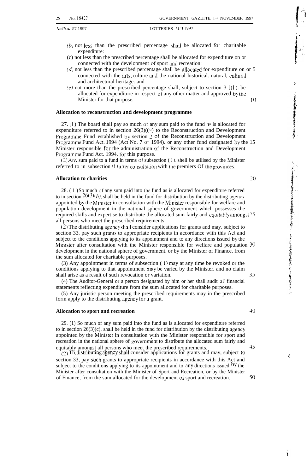- *(b)* not less than the prescribed percentage shail be allocated for charitable expenditure:
- (c) not less than the prescribed percentage shall be allocated for expenditure on or connected with the development of sport and recreation:
- $(d)$  not less than the prescribed percentage shall be allocated for expenditure on or 5 connected with the arts. culture and the national historical. natural, cultural and architectural heritage: and
- (e) not more than the prescribed percentage shall, subject to section  $31(1)$ . be allocated for expenditure in respect of any other matter and approved by the Minister for that purpose. 10

#### **Allocation to reconstruction and development programme**

 $27.$  (1) The board shall pay so much of any sum paid to the fund as is allocated for expenditure referred to in section  $26(3)((-)$  to the Reconstruction and Development Programme Fund established by section 2 of the Reconstruction and Development Programme Fund Act. 1994 (Act No. 7 of 1994). or any other fund designated by the 15 Minister responsible for the administration of the Reconstruction and Development Programme Fund Act. 1994. for this purpose.

(2) Anv sum paid to a fund in terms of subsection ( 1). shell be utilised by the Minister referred to in subsection  $(1)$  after consultation with the premiers Of the provinces.

#### **Allocation to charities 2()**

28. ( 1 ) So much of any sum paid into the fund as is allocated for expenditure referred to in section  $26(3)(b)$ , shall be held in the fund for distribution by the distributing agency appointed by the Minister in consultation with the Minister responsible for welfare and population development in the national sphere of government which possesses the required skills and expertise to distribute the allocated sum fairly and equitably amongst 25 all persons who meet the prescribed requirements.

(2) The distributing agency shall consider applications for grants and may. subject to section 33. pay such grants to appropriate recipients in accordance with this Act and subject to the conditions applying to its appointment and to any directions issued by the Minister after consultation with the Minister responsible for welfare and population 30 development in the national sphere of government. or by the Minister of Finance. from the sum allocated for charitable purposes.

(3) Any appointment in terms of subsection  $(1)$  may at any time be revoked or the conditions applying to that appointment may be varied by the Minister. and no claim shall arise as a result of such revocation or variation. 35

(4) The Auditor-General or a person designated by him or her shall audit ail financial statements reflecting expenditure from the sum allocated for charitable purposes.

(5) Any juristic person meeting the prescribed requirements may in the prescribed form apply to the distributing agency for a grant.

#### **Allocation to sport and recreation 40**

29. (1) So much of any sum paid into the fund as is allocated for expenditure referred to in section  $26(3)(c)$ . shall be held in the fund for distribution by the distributing agency appointed by the Minister in consultation with the Minister responsible for sport and recreation in the national sphere of government to distribute the allocated sum fairly and equitably amongst all persons who meet the prescribed requirements. 45

 $(2)$  Th distributing agency shall consider applications for grants and may, subject to section 33, pay such grants to appropriate recipients in accordance with this Act and subject to the conditions applying to its appointment and to any directions issued  $\mathfrak{g}_y$  the Minister after consultation with the Minister of Sport and Recreation, or by the Minister of Finance, from the sum allocated for the development of sport and recreation. 50 i. -

>.

Control of the Control of Articles

このことでする場合は、その後のことには、その他の意味を見るのです。そのことには、そのことには、そのことには、そのことには、そのことには、そのことに、こことには、そのことには、そのことには、そのことには

**/'. . ., <sup>&</sup>lt;**

ŷ

É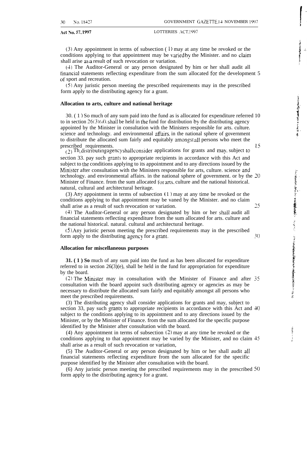Act NO. 37, 1997 LOTTERIES .+CT. 1997

(3) Any appointment in terms of subsection (1) may at any time be revoked or the conditions applying to that appointment may be varied by the Minister. and no claim shall arise as a result of such revocation or variation.

(4) The Auditor-General or any person designated by him or her shall audit all financial statements reflecting expenditure from the sum allocated for the development 5 of sport and recreation.

(5) Any juristic person meeting the prescribed requirements may in the prescribed form apply to the distributing agency for a grant.

#### **Allocation to arts, culture and national heritage**

30. ( 1 ) So much of any sum paid into the fund as is allocated for expenditure referred 10 to in section  $26(3)(d)$ , shall be held in the fund for distribution by the distributing agency appointed by the Minister in consultation with the Ministers responsible for arts. culture. science and technology. and environmental affairs. in the national sphere of government to distribute the allocated sum fairly and equitably amongst all persons who meet the prescribed requirements.

 $_{(2)}$  Th<sub>e</sub> distributing agency shall consider applications for grants and may, subject to section 33. pay such grants to appropriate recipients in accordance with this Act and subject to the conditions applying to its appointment and to any directions issued by the Minister after consultation with the Ministers responsible for arts, culture. science and technology. and environmental affairs. in the national sphere of government. or by the 20 Minister of Finance. from the sum allocated for arts, culture and the national historical. natural, cultural and architectural heritage.

(3) Any appointment in terms of subsection  $(1)$  may at any time be revoked or the conditions applying to that appointment may be vaned by the Minister. and no claim shall arise as a result of such revocation or variation. 25

(4) The Auditor-General or any person designated by him or her shall audit all financial statements reflecting expenditure from the sum allocated for arts. culture and the national historical. natural. cultural and architectural heritage.

(5) Any juristic person meeting the prescribed requirements may in the prescribed form apply to the distributing agency for a grant.  $\frac{3(}$ 

#### **Allocation for miscellaneous purposes**

**31. ( 1 ) So** much of any sum paid into the fund as has been allocated for expenditure referred to in section 26(3)(e), shall be held in the fund for appropriation for expenditure by the board.

(2) The Minister may in consultation with the Minister of Finance and after 35 consultation with the board appoint such distributing agency or agencies as may be necessary to distribute the allocated sum fairly and equitably amongst all persons who meet the prescribed requirements.

(3) The distributing agency shall consider applications for grants and may, subject to section 33, pay such grants to appropriate recipients in accordance with this Act and 40 subject to the conditions applying to its appointment and to any directions issued by the Minister, or by the Minister of Finance. from the sum allocated for the specific purpose identified by the Minister after consultation with the board.

(4) Any appointment in terms of subsection (2) may at any time be revoked or the conditions applying to that appointment may be varied by the Minister, and no claim 45 shall arise as a result of such revocation or variation,

(5) The Auditor-General or any person designated by him or her shall audit all financial statements reflecting expenditure from the sum allocated for the specific purpose identified by the Minister after consultation with the board.

(6) Any juristic person meeting the prescribed requirements may in the prescribed 50 form apply to the distributing agency for a grant.

i; ::

 $\ddot{\phantom{a}}$ 

医子宫神经节 医阿尔伯氏病 医肠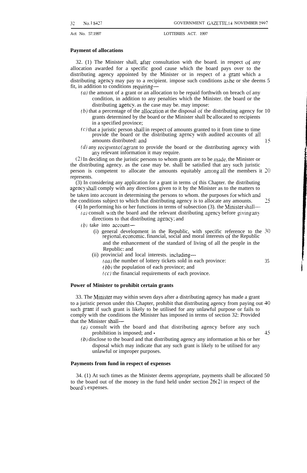#### **Payment of allocations**

32. (1) The Minister shall, after consultation with the board. in respect of any allocation awarded for a specific good cause which the board pays over to the distributing agency appointed by the Minister or in respect of a grant which a distributing agency may pay to a recipient. impose such conditions as he or she deems 5 fit, in addition to conditions requiring—

- $(a)$  the amount of a grant or an allocation to be repaid forthwith on breach of any condition, in addition to any penalties which the Minister. the board or the distributing agency, as the case may be. may impose:
- $(b)$  that a percentage of the allocation at the disposal of the distributing agency for 10 grants determined by the board or the Minister shall be allocated to recipients in a specified province;
- $(c)$  that a juristic person shall in respect of amounts granted to it from time to time provide the board or the distributing agency with audited accounts of all amounts distributed: and  $\frac{15}{9}$
- $(d)$  any recipient of a grant to provide the board or the distributing agency with any relevant information it may require.

(2) In deciding on the juristic persons to whom grants are to be made. the Minister or the distributing agency. as the case may be. shall be satisfied that any such juristic person is competent to allocate the amounts equitably among all the members it 20 represents.

(3) In considering any application for a grant in terms of this Chapter. the distributing agency shall comply with any directions given to it by the Minister as to the matters to be taken into account in determining the persons to whom. the purposes for which and the conditions subject to which that distributing agency is to allocate any amounts. 25

- (4) In performing his or her functions in terms of subsection (3). the Minister shall- $(a)$  consult with the board and the relevant distributing agency before giving any
	- directions to that distributing agency; and
	- $(b)$  take into account—
		- (i) general development in the Republic, with specific reference to the 30 regional. economic. financial, social and moral interests of the Republic and the enhancement of the standard of living of all the people in the Republic: and
		- (ii) provincial and local interests. including—
			- $(aa)$  the number of lottery tickets sold in each province:  $35$
			- ( *bb)* the population of each province; and
			- $(cc)$  the financial requirements of each province.

#### **Power of Minister to prohibit certain grants**

33. The Minister may within seven days after a distributing agency has made a grant to a juristic person under this Chapter, prohibit that distributing agency from paying out 40 such grant if such grant is likely to be utilised for any unlawful purpose or fails to comply with the conditions the Minister has imposed in terms of section 32: Provided that the Minister shall—

- $(a)$  consult with the board and that distributing agency before any such prohibition is imposed; and  $\cdot$  45
	-
- (b) disclose to the board and that distributing agency any information at his or her disposal which may indicate that any such grant is likely to be utilised for any unlawful or improper purposes.

#### **Payments from fund in respect of expenses**

34. (1) At such times as the Minister deems appropriate, payments shall be allocated 50 to the board out of the money in the fund held under section  $26(2)$  in respect of the board's expenses.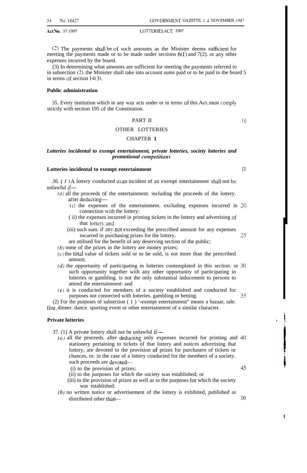$(2)$  The payments shall be of such amounts as the Minister deems sufficient for meeting the payments made or to be made under sections **6( <sup>1</sup> )** and 7(2). or my other expenses incurred by the board.

(3) In determining what amounts are sufficient for meeting the payments referred to in subsection (2). the Minister shall take into account sums paid or to be paid to the board 5 in terms of section 14(3).

#### **Public administration**

35. Every institution which in any way acts under or in terms of this Act, must comply strictly with section 195 of the Constitution.

#### PART II

#### OTHER LOTTERIES

#### CHAPTER **1**

#### *Lotteries incidental to exempt entertainment, private lotteries, society lotteries and*  $p$ romotional competitions

#### **Lotteries incidental to exempt entertainment**

*36. (1) A* lottery conducted as an incident of an exempt entertainment shall not be unlawful if—

- $(a)$  all the proceeds of the entertainment. including the proceeds of the lottery. after deducting—
	- (i) the expenses of the entertainment. excluding expenses incurred in 20 connection with the lottery:
	- ( ii) the expenses incurred in printing tickets in the lottery and advertising of that lottery; and
	- (iii) such sum. if any. nor exceeding the prescribed amount for any expenses incurred in purchasing prizes for the lottery. 25
	- are utilised for the benefit of any deserving section of the public;
- $(b)$  none of the prizes in the lottery are money prizes;
- $(c)$  the total value of tickets sold or to be sold, is not more than the prescribed amount;
- $(d)$  the opportunity of participating in lotteries contemplated in this section. or  $30$ such opportunity together with any other opportunity of participating in lotteries or gambling. is not the only substantial inducement to persons to attend the entertainment: and
- $(e)$  it is conducted for members of a society established and conducted for purposes not connected with lotteries. gambling or betting.  $35$

(2) For the purposes of subsection ( 1 ) '-exempt entertainment" means a bazaar, sale. fête, dinner. dance. sporting event or other entertainment of a similar character.

#### **Private lotteries**

37. (1) A private lottery shall not be unlawful if—

- $(a)$  all the proceeds. after deducting only expenses incurred for printing and  $40$ stationery pertaining to tickets of that lottery and notices advertising that lottery, are devoted to the provision of prizes for purchasers of tickets or chances, or. in the case of a lottery conducted for the members of a society. such proceeds are devoted— (i) to the provision of prizes; 45
	-
	- (ii) to the purposes for which the society was established; or
	- (iii) to the provision of prizes as well as to the purposes for which the society was established;
- (b) no written notice or advertisement of the lottery is exhibited, published or distributed other than— 50

*[5*

 $I($ 

I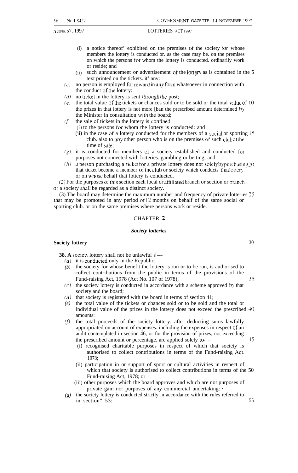Act No. 57, 1997

- (i) a notice thereof' exhibited on the premises of the society for whose members the lottery is conducted or. as the case may be. on the premises on which the persons for whom the lottery is conducted. ordinarily work or reside; and
- (ii) such announcement or advertisement of the lottery as is contained in the 5 text printed on the tickets. it' any:
- $(c)$  no person is employed for reward in any form whatsoever in connection with the conduct of the lottery:
- $(d)$  no ticket in the lottery is sent through the post;
- (e) the total value of the tickets or chances sold or to be sold or the total value of 10 the prizes in that lottery is not more [ban the prescribed amount determined by the Minister in consultation with the board;
- $(f)$  the sale of tickets in the lottery is confined—
	- (i) to the persons for whom the lottery is conducted: and
	- (ii) in the case of a lottery conducted for the members of a social or sporting  $\frac{1}{5}$ club. also to any other person who is on the premises of such club at the time of sale:
- $(g)$  it is conducted for members of a society established and conducted for purposes not connected with lotteries. gambling or betting; and
- **(/1)**  $\alpha$  person purchasing a ticket for a private lottery does not solely by purchasing 20 that ticket become a member of the club or society which conducts that lottery or on whose behalf that lottery is conducted.

 $(2)$  For the purposes of this section each local or attiliated branch or section or branch of a society shall be regarded as a distinct society.

(3) The board may determine the maximum number and frequency of private lotteries 25 that may be promoted in any period of 12 months on behalf of the same social or sporting club. or on the same premises where persons work or reside.

#### CHAPTER 2

#### *Society lotteries*

#### **Society lottery**

**38.** A society lottery shall not be unlawful if—

- ( $a$ ) it is conducted only in the Republic:
- *(b)* the society for whose benefit the lottery is run or to be run, is authorised to collect contributions from the public in terms of the provisions of the Fund-raising Act, 1978 (Act No. 107 of 1978); 35
- *(c)* the society lottery is conducted in accordance with a scheme approved by that society and the board;
- *(d)* that society is registered with the board in terms of section 41;
- *(e)* the total value of the tickets or chances sold or to be sold and the total or individual value of the prizes in the lottery does not exceed the prescribed 40 amounts:
- *(f)* the total proceeds of the society lottery. after deducting sums lawfully appropriated on account of expenses. including the expenses in respect of an audit contemplated in section 46, or for the provision of prizes, not exceeding the prescribed amount or percentage. are applied solely to  $-$  45
	- (i) recognised charitable purposes in respect of which that society is authorised to collect contributions in terms of the Fund-raising Act, 1978;
	- (ii) participation in or support of sport or cultural activities in respect of which that society is authorised to collect contributions in terms of the 50 Fund-raising Act, 1978; or
	- (iii) other purposes which the board approves and which are not purposes of private gain nor purposes of any commercial undertaking:  $\sim$
- *(g)* the society lottery is conducted strictly in accordance with the rules referred to in section" 53: 55

30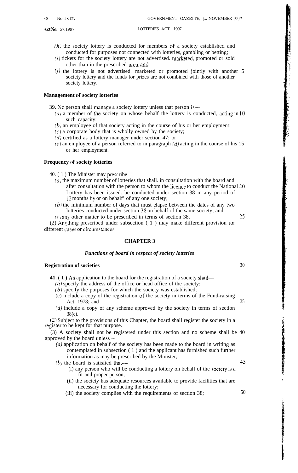- $(h)$  the society lottery is conducted for members of a society established and conducted for purposes not connected with lotteries, gambling or betting;
- $(i)$  tickets for the society lottery are not advertised. marketed, promoted or sold other than in the prescribed area; and
- $(j)$  the lottery is not advertised. marketed or promoted jointly with another 5 society lottery and the funds for prizes are not combined with those of another society lottery.

#### **Management of society lotteries**

39. No person shall manage a society lottery unless that person is—

- (a) a member of the society on whose behalf the lottery is conducted, acting in  $10$ such capacity:
- (b) an employee of that society acting in the course of his or her employment:
- $(c)$  a corporate body that is wholly owned by the society;
- (d) certified as a lottery manager under section 47; or
- $(e)$  an employee of a person referred to in paragraph  $(d)$  acting in the course of his 15 or her employment.

#### **Frequency of society lotteries**

40. ( 1 ) The Minister may prescribe—

- $(a)$  the maximum number of lotteries that shall. in consultation with the board and after consultation with the person to whom the licence to conduct the National 20 Lottery has been issued. be conducted under section 38 in any period of 12 months by or on behalf' of any one society;
- $(b)$  the minimum number of days that must elapse between the dates of any two lotteries conducted under section 38 on behalf of the same society; and
- (c) any other matter to be prescribed in terms of section 38. 25

(2) Anything prescribed under subsection  $(1)$  may make different provision for different cases or circumstances.

#### **CHAPTER 3**

#### *Functions of board in respect of society lotteries*

### **Registration of societies** 30

**41.** (1) An application to the board for the registration of a society shall—

- $(a)$  specify the address of the office or head office of the society;
- $(b)$  specify the purposes for which the society was established;
- (c) include a copy of the registration of the society in terms of the Fund-raising Act. 1978; and 35
- $(d)$  include a copy of any scheme approved by the society in terms of section 38(c).

(2) Subject to the provisions of this Chapter, the board shall register the society in a register to be kept for that purpose.

(3) A society shall not be registered under this section and no scheme shall be 40 approved by the board unless—

*(a)* application on behalf of the society has been made to the board in writing as contemplated in subsection ( 1 ) and the applicant has furnished such further information as may be prescribed by the Minister;

 $(b)$  the board is satisfied that— 45

- (i) any person who will be conducting a lottery on behalf of the society is a fit and proper person;
- (ii) the society has adequate resources available to provide facilities that are necessary for conducting the lottery;
- (iii) the society complies with the requirements of section 38; 50

4. .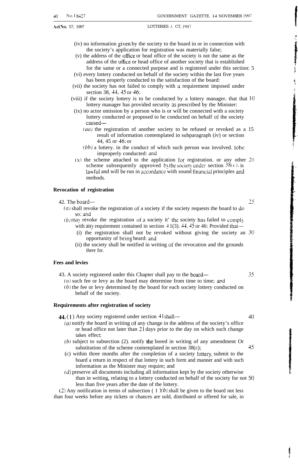- (iv) no information given by the society to the board in or in connection with the society's application for registration was materially false;
- (v) the address of the otice or head office of the society is not the same as the address of the office or head office of another society that is established for the same or a connected purpose and is registered under this section: 5
- (vi) every lottery conducted on behalf of the society within the last five years has been properly conducted to the satisfaction of the board:
- (vii) the society has not failed to comply with a requirement imposed under section 38, 44.45 or 46;
- (viii) if the society lottery is to be conducted by a lottery manager. that that 10 lottery manager has provided security as prescribed by the Minister:
- (ix) no actor omission by a person who is or will be connected with a society lottery conducted or proposed to be conducted on behalf of the society caused—
	- $(aa)$  the registration of another society to be refused or revoked as a 15 result of information contemplated in subparagraph (iv) or section 44, 45 or 46; or
	- $(bb)$  a lottery. in the conduct of which such person was involved. to be improperly conducted: and
- (x) the scheme attached to the application for registration. or any other  $20$ scheme subsequently approved by the society under section  $38(c)$ , is lawful and will be run in accordance with sound financial principles and methods.

#### **Revocation of registration**

#### 42. The board— 25

- (a) shall revoke the registration of a society if the society requests the board to do so: and
- $(b)$  may revoke the registration of a society it' the society has failed to comply with any requirement contained in section  $41(3)$ .  $44$ ,  $45$  or 46: Provided that—
	- (i) the registration shall not be revoked without giving the society an 30 opportunity of being heard: and
	- (ii) the society shall be notified in writing of the revocation and the grounds there for.

#### **Fees and levies**

- 43. A society registered under this Chapter shall pay to the board— 35
	- $(a)$  such fee or levy as the board may determine from time to time; and  $(b)$  the fee or levy determined by the board for each society lottery conducted on behalf of the society.

#### **Requirements after registration of society**

 $44. (1)$  Any society registered under section  $-1$  shall—  $40$ 

- $(a)$  notify the board in writing of any change in the address of the society's office or head office not later than 21 days prior to the day on which such change takes effect;
- $(b)$  subject to subsection (2). notify the bored in writing of any amendment Or substitution of the scheme contemplated in section  $38(c)$ ;  $45$
- $(c)$  within three months after the completion of a society lottery, submit to the board a return in respect of that lottery in such form and manner and with such information as the Minister may require; and
- $(d)$  preserve all documents including all information kept by the society otherwise than in writing, relating to a lottery conducted on behalf of the society for not 50 less than five years after the date of the lottery.

(2) Any notification in terms of subsection (1)(b) shall be given to the board not less than four weeks before any tickets or chances are sold, distributed or offered for sale, in

**I** 

t .,

**The Committee of the Committee of the Committee of the Committee of the Committee of the Committee of The Committee of The Committee of The Committee of The Committee of The Committee of The Committee of The Committee of** 

 $\ddot{\hat{r}}$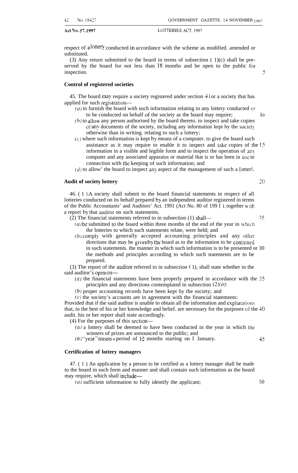respect of a lottery conducted in accordance with the scheme as modified. amended or substituted.

(3) Any return submitted to the board in terms of subsection  $(1)(c)$  shall be preserved by the board for not less than  $18$  months and be open to the public for inspection.

**Control of registered societies**

45. The board may require a society registered under section  $41$  or a society that has applied for such registration—

- $(a)$  to furnish the board with such information relating to any lottery conducted or to be conducted on behalf of the society as the board may require; i o
- $(b)$  to allow any person authorised by the board thereto. to inspect and take copies of any documents of the society, including any information kept by the society otherwise than in writing. relating to such a lottery;
- $(c)$  where such information is kept by means of a computer. to give the board such assistance as it may require to enable it to inspect and take copies of the <sup>15</sup> information in a visible and legible form and to inspect the operation of an} computer and any associated apparatus or material that is or has been in use in connection with the keeping of such information; and
- $(d)$  to allow' the board to inspect any aspect of the management of such a [otter!.

#### **Audit of society lottery 20**

46. ( 1 ) A society shall submit to the board financial statements in respect of all lotteries conducted on its behalf prepared by an independent auditor registered in terms of the Public Accountants' and Auditors' Act. 1991 (Act No. 80 of 199 I ), together with a report by that auditor on such statements.

- $(2)$  The financial statements referred to in subsection (1) shall—
	- $(a)$  be submitted to the board within three months of the end of the year in which the lotteries to which such statements relate, were held; and
	- $(b)$  comply with generally accepted accounting principles and any other directions that may be given by the board as to the information to be contained in such statements. the manner in which such information is to be presented or 30 the methods and principles according to which such statements are to be prepared.

(3) The report of the auditor referred to in subsection  $(1)$ , shall state whether in the said auditor's opinion—

- ( $a$ ) the financial statements have been properly prepared in accordance with the  $35$ principles and any directions contemplated in subsection  $(2)(b)$ ;
- *(b)* proper accounting records have been kept by the society; and

 $(c)$  the society's accounts are in agreement with the financial statements: Provided that if the said auditor is unable to obtain all the information and explanations

that, to the best of his or her knowledge and belief. are necessary for the purposes of the 40 audit. his or her report shall state accordingly.

- (4) For the purposes of this section—
	- (a) a lottery shall be deemed to have been conducted in the year in which the winners of prizes are announced to the public; and
	- (b) "year" means a period of  $12$  months starting on 1 January.  $45$

#### **Certification of lottery managers**

47. ( 1 ) An application by a person to be certified as a lottery manager shall be made to the board in such form and manner and shall contain such information as the board may require, which shall include—

 $(a)$  sufficient information to fully identify the applicant;  $50$ 

 $25 -$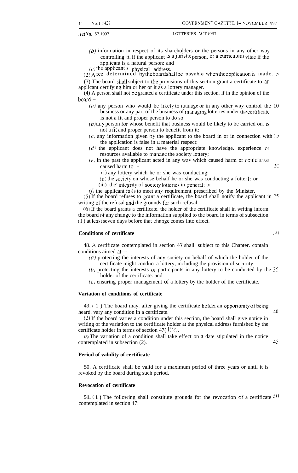- $(b)$  information in respect of its shareholders or the persons in any other way controlling it, if the applicant is a juristic person. or a curriculum vitae if the applicant is a natural person: and
- $(c)$  the applicant's physical address.

(2) A fee determined by the board shall be payable when the application is made.  $\frac{1}{2}$ 

(3) The board shall subject to the provisions of this section grant a certificate to m applicant certifying him or her or it as a lottery manager.

(4) A person shall not be granted a certificate under this section. if in the opinion of the board—

- (a) any person who would be likely to manage or in any other way control the 10 business or any part of the business of managing lotteries under the certificate is not a fit and proper person to do so:
- *(b) zny* person for whose benefit that business would be likely to be carried on. is not a fir and proper person to benefit from it:
- $(c)$  any information given by the applicant to the board in or in connection with 15 the application is false in a material respect:
- $(d)$  the applicant does not have the appropriate knowledge. experience or resources available to manage the society lottery;
- $(e)$  in the past the applicant acted in any way which caused harm or could have caused harm to — 20
	- (i) any lottery which he or she was conducting:
	- (ii) the society on whose behalf he or she was conducting a [otter}: or
	- (iii) the integnty of society lotteries in general; or

 $(f)$  the applicant fails to meet any requirement prescribed by the Minister.

 $(5)$  If the board refuses to grant a certificate, the board shall notify the applicant in 25 writing of the refusal and the grounds for such refusal.

(6) If the board grants a certificate. the holder of the certificate shall in writing inform the board of any change to the information supplied to the board in terms of subsection  $(I)$  at least seven days before that change comes into effect.

## **Conditions of certificate 3()**

48. A certificate contemplated in section 47 shall. subject to this Chapter. contain conditions aimed at—

- $(a)$  protecting the interests of any society on behalf of which the holder of the certificate might conduct a lottery, including the provision of security:
- (b) protecting the interests of participants in any lottery to be conducted by the 35 holder of the certificate: and
- $(c)$  ensuring proper management of a lottery by the holder of the certificate.

#### **Variation of conditions of certificate**

49. (1) The board may. after giving the certificate holder an opportunity of being heard. vary any condition in a certificate. 40

(2) If the board varies a condition under this section, the board shall give notice in writing of the variation to the certificate holder at the physical address furnished by the certificate holder in terms of section 47( $l(c)$ ).

(3) The variation of a condition shall take effect on 1 date stipulated in the notice contemplated in subsection (2). 45

#### **Period of validity of certificate**

50. A certificate shall be valid for a maximum period of three years or until it is revoked by the board during such period.

#### **Revocation of certificate**

**51.** (1) The following shall constitute grounds for the revocation of a certificate  $50$ contemplated in section 47: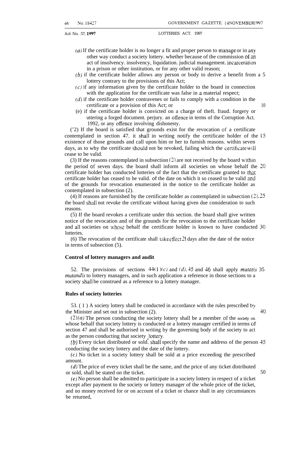- $(a)$  If the certificate holder is no longer a fit and proper person to manage or in any other way conduct a society lottery. whether because of the commission of an act of insolvency. insolvency, liquidation. judicial management. incarceration in a prison or other institution, or for any other valid reason;
- (b) if the certificate holder allows any person or body to derive a benefit from a 5 lottery contrary to the provisions of this Act;
- $(c)$  if any information given by the certificate holder to the board in connection with the application for the certificate was false in a material respect;
- $(d)$  if the certificate holder contravenes or fails to comply with a condition in the certificate or a provision of this Act; or 10
- (e) if the certificate holder is convicted on a charge of theft. fraud. forgery or uttering a forged document. perjury. an ofience in terms of the Corruption Act. 1992, or any offence involving dishonesty.

('2) If the board is satisfied that grounds exist for the revocation of a certificate contemplated in section 47. it shall in writing notify the certificate holder of the 15 existence of those grounds and call upon him or her to furnish reasons. within seven days, as to why the certificate should not be revoked, failing which the certificate will cease to be valid.

(3) If the reasons contemplated in subsection (2) are not received by the board within the period of seven days. the board shall inform all societies on whose behalf the 20 certificate holder has conducted lotteries of the fact that the certificate granted to that certificate holder has ceased to be valid. of the date on which it so ceased to be valid and of the grounds for revocation enumerated in the notice to the certificate holder as contemplated in subsection (2).

(4) If reasons are furnished by the certificate holder as contemplated in subsection (2). 25 the board shall not revoke the certificate without having given due consideration to such reasons.

(5) If the board revokes a certificate under this section. the board shall give written notice of the revocation and of the grounds for the revocation to the certificate holder and all societies on whose behalf the certificate holder is known to have conducted  $30$ lotteries.

(6) The revocation of the certificate shall take effect  $21$  days after the date of the notice in terms of subsection (5).

#### **Control of lottery managers and audit**

52. The provisions of sections  $44(I)(c)$  and  $(d)$ , 45 and 46 shall apply *mutatis* 35 mutandis to lottery managers, and in such application a reference in those sections to a society shall be construed as a reference to a lottery manager.

#### **Rules of society lotteries**

53. ( 1 ) A society lottery shall be conducted in accordance with the rules prescribed by the Minister and set out in subsection  $(2)$ .  $40$ 

 $(2)(a)$  The person conducting the society lottery shall be a member of the society on whose behalf that society lottery is conducted or a lottery manager certified in terms ot' section 47 and shall be authorised in writing by the governing body of the society to act as the person conducting that society !ottery.

 $(b)$  Every ticket distributed or sold. shall specify the name and address of the person 45 conducting the society lottery and the date of the lottery.

(c) No ticket in a society lottery shall be sold at a price exceeding the prescribed amount.

*(d)* The price of every ticket shall be the same, and the price of any ticket distributed or sold, shall be stated on the ticket. 50

(e) No person shall be admitted to participate in a society lottery in respect of a ticket except after payment to the society or lottery manager of the whole price of the ticket, and no money received for or on account of a ticket or chance shall in any circumstances be returned,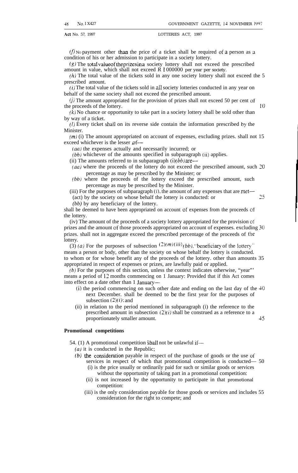$(f)$  No payment other than the price of a ticket shall be required of a person as a condition of his or her admission to participate in a society lottery.

 $(g)$  The total value of the prizes in a society lottery shall not exceed the prescribed amount in value, which shall not exceed R 1 000000 per year per society.

 $(h)$  The total value of the tickets sold in any one society lottery shall not exceed the 5 prescribed amount.

 $(i)$  The total value of the tickets sold in all society lotteries conducted in any year on behalf of the same society shall not exceed the prescribed amount.

 $(j)$  The amount appropriated for the provision of prizes shall not exceed 50 per cent of the proceeds of the lottery. 10

 $(k)$  No chance or opportunity to take part in a society lottery shall be sold other than by way of a ticket.

(/) Every ticket shall on its reverse side contain the information prescribed by the Minister.

 $(m)$  (i) The amount appropriated on account of expenses, excluding prizes. shall not 15 exceed whichever is the lesser  $of$ —

 $(aa)$  the expenses actually and necessarily incurred; or

 $(bb)$  whichever of the amounts specified in subparagraph (ii) applies.

(ii) The amounts referred to in subparagraph  $(i)(bb)$  are—

(*aa*) where the proceeds of the lottery do not exceed the prescribed amount, such  $20$ percentage as may be prescribed by the Minister; or

- *(bb)* where the proceeds of the lottery exceed the prescribed amount, such percentage as may be prescribed by the Minister.
- (iii) For the purposes of subparagraph (i). the amount of any expenses that are met-

(act) by the society on whose behalf the lottery is conducted: or 25

*(bb)* by any beneficiary of the lottery.

shall be deemed to have been appropriated on account of expenses from the proceeds of the lottery.

(iv) The amount of the proceeds of a society lottery appropriated for the provision of prizes and the amount of those proceeds appropriated on account of expenses. excluding 30 prizes. shall not in aggregate exceed the prescribed percentage of the proceeds of the lottery.

(3) (a) For the purposes of subsection  $(2)(m)(iii)$  (bb). 'beneficiary of the lottery' means a person or body, other than the society on whose behalf the lottery is conducted. to whom or for whose benefit any of the proceeds of the lottery. other than amounts 35 appropriated in respect of expenses or prizes, are lawfully paid or applied.

*(b)* For the purposes of this section, unless the context indicates otherwise, "year"' means a period of 12 months commencing on 1 January: Provided that if this Act comes into effect on a date other than 1 January—

- (i) the period commencing on such other date and ending on the last day of the 40 next December. shall be deemed to be the first year for the purposes of subsection  $(2)(i)$ ; and
- (ii) in relation to the period mentioned in subparagraph (i) the reference to the prescribed amount in subsection  $(2)(i)$  shall be construed as a reference to a proportionately smaller amount. 45

#### **Promotional competitions**

54. (1) A promotional competition shall not be unlawful if—

(*a*) it is conducted in the Republic;

- *(b)* the consideration payable in respect of the purchase of goods or the use of services in respect of which that promotional competition is conducted— 50
	- (i) is the price usually or ordinarily paid for such or similar goods or services without the opportunity of taking part in a promotional competition:
	- (ii) is not increased by the opportunity to participate in that promotional competition:
	- (iii) is the only consideration payable for those goods or services and includes 55 consideration for the right to compete; and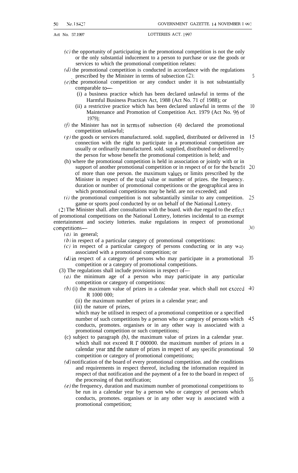5

Act No. 57.1997 LOTTERIES ACT. 1997

- (c) the opportunity of participating in the promotional competition is not the only or the only substantial inducement to a person to purchase or use the goods or services to which the promotional competition relates:
- $(d)$  the promotional competition is conducted in accordance with the regulations prescribed by the Minister in terms of subsection (2):
- $(e)$  the promotional competition or any conduct under it is not substantially comparable to—
	- (i) a business practice which has been declared unlawful in terms of the Harmful Business Practices Act, 1988 (Act No. 71 of 1988); or
	- (ii) a restrictive practice which has been declared unlawful in terms of the Maintenance and Promotion of Competition Act. 1979 (Act No. 96 of 1979); 10
- $(f)$  the Minister has not in terms of subsection (4) declared the promotional competition unlawful; ,
- $(g)$  the goods or services manufactured. sold. supplied, distributed or delivered in 15 connection with the right to participate in a promotional competition are usually or ordinarily manufactured. sold. supplied, distributed or delivered by the person for whose benefit the promotional competition is held; and
- (h) where the promotional competition is held in association or jointly with or in support of another promotional competition or in respect of or for the benefit  $20$ of more than one person, the maximum values or limits prescribed by the Minister in respect of the total value or number of prizes. the frequency. duration or number of promotional competitions or the geographical area in which promotional competitions may be held. are not exceeded; and
- $(i)$  the promotional competition is not substantially similar to any competition. 25 game or sports pool conducted by or on behalf of the National Lottery.

(2) The Minister shall. after consultation with the board. with due regard to the etfect of promotional competitions on the National Lottery, lotteries incidental to an exempt entertainment and society lotteries. make regulations in respect of promotional competitions— 30

 $(a)$  in general;

- $(b)$  in respect of a particular category of promotional competitions:
- $(c)$  in respect of a particular category of persons conducting or in any way associated with a promotional competition; or
- $(d)$  in respect of a category of persons who may participate in a promotional 35 competition or a category of promotional competitions.
- (3) The regulations shall include provisions in respect of—
	- (a) the minimum age of a person who may participate in any particular competition or category of competitions:
	- $(b)$  (i) the maximum value of prizes in a calendar year. which shall not exceed  $\overline{40}$ R 1000 000;
		- (ii) the maximum number of prizes in a calendar year; and
		- (iii) the nature of prizes,

which may be utilised in respect of a promotional competition or a specified number of such competitions by a person who or category of persons which 45 conducts, promotes. organises or in any other way is associated with a promotional competition or such competitions;

- (c) subject to paragraph *(b),* the maximum value of prizes in a calendar year. which shall not exceed R  $\ddot{\phantom{a}}$  000000. the maximum number of prizes in a calendar year and the nature of prizes in respect of any specific promotional 50 competition or category of promotional competitions;
- $(d)$  notification of the board of every promotional competition. and the conditions and requirements in respect thereof, including the information required in respect of that notification and the payment of a fee to the board in respect of the processing of that notification;
- $(e)$  the frequency, duration and maximum number of promotional competitions to be run in a calendar year by a person who or category of persons which conducts, promotes. organises or in any other way is associated with a promotional competition;

55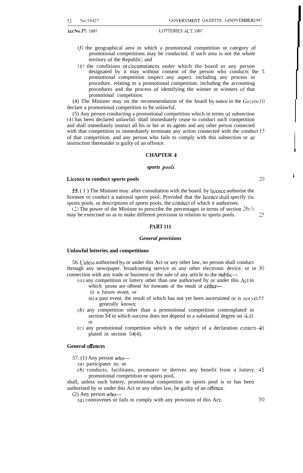- $(f)$  the geographical area in which a promotional competition or category of promotional competitions may be conducted. if such area is not the whole territory of the Republic; and
- $(g)$  the conditions or circumstances under which the board or any person designated by it may without consent of the person who conducts the 5 promotional competition inspect any aspect. including any process or procedure, relating to a promotional competition. including the accounting procedures and the process of identifying the winner or winners of that promotional competition.

(4) The Minister may on the recommendation of the board by notice in the  $Gazette 10$ declare a promotional competition to be unlawful.

(5) Any person conducting a promotional competition which in terms ot' subsection (4) has been declared unlawful. shall immediately cease to conduct such competition and shall immediately instruct all his or her or its agents and any other person connected with that competition to immediately terminate any action connected with the conduct  $15$ of that competition. and any person who fails to comply with this subsection or an instruction thereunder is guilty of an offence.

#### **CHAPTER 4**

#### *sports pooh*

#### **Licence to conduct sports pools 20**

55. ( 1 ) The Minister may. after consultation with the board. by Iicence authorise the licensee to conduct a national sports pool: Provided that the licence shall specify the sports pools. or descriptions of sports pools, the conducr of which it authorises.

(2) The power of the Minister to prescribe the percentages in terms of section  $26(3)$ may be exercised so as to make different provision in relation to sports pools.  $\frac{25}{25}$ 

#### PARF **111**

#### *General provisions*

#### **Unlawful lotteries and competitions**

56. Unless authorised by or under this Act or any other law, no person shall conduct through any newspaper. broadcasting service or any other electronic device. or in 30 connection with any trade or business or the sale of any article to the public—

- $(a)$  any competition or lottery other than one authorised by or under this Act in which prizes are offered for forecasts of the result of either—
	- (i) a future event; or
	- (ii) a past event. the result of which has not yet been ascertained or is not yet  $35$ generally known;
- (b) any competition other than a promotional competition contemplated in section 54 in which success does not depend to a substantial degree on skill: or
- $(c)$  any promotional competition which is the subject of a declaration contem- 40 plated in section  $54(4)$ .

#### **General offences**

57. (1) Any person who- $-$ 

- (a) participates in; or
- *(b)* conducts, facilitates, promotes or derives any benefit from a lottery. 45 promotional competition or sports pool,

shall, unless such lottery, promotional competition or sports pool is or has been authorised by or under this Act or any other law, be guilty of an offence.

 $(2)$  Any person who--

(a) contravenes or fails to comply with any provision of this Act;  $50$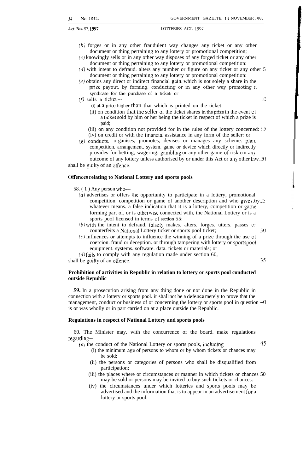- *(b)* forges or in any other fraudulent way changes any ticket or any other document or thing pertaining to any lottery or promotional competition;
- (c) knowingly sells or in any other way disposes of any forged ticket or any other document or thing pertaining to any lottery or promotional competition:
- $(d)$  with intent to defraud. alters any number or figure on any ticket or any other 5 document or thing pertaining to any lottery or promotional competition:
- $(e)$  obtains any direct or indirect financial gain, which is not solely a share in the prize payout, by forming. conducting or in any other way promoting a syndicate for the purchase of a ticket: or

 $(f)$  sells a ticket— 10

- (i) at a price higher than that which is printed on the ticket:
	- (ii) on condition that the seller of the ticket shares in the prize in the event of a ticket sold by him or her being the ticket in respect of which a prize is paid;
- (iii) on any condition not provided for in the rules of the lottery concerned: 15
- (iv) on credit or with the tinancial assistance in any form of the seller: or
- (g) conducts. organises, promotes, devises or manages any scheme. plan. competition. arrangement. system. game or device which directly or indirectly provides for betting, wagering. gambling or any other game of risk cm an> outcome of any lottery unless authorised by or under this Act or any other law, 20 shall be guilty of an offence.

#### **Offences relating to National Lottery and sports pools**

58. ( 1 ) Any person who—

- (a) advertises or offers the opportunity to participate in a lottery, promotional competition. competition or game of another description and who gives. by 25 whatever means. a false indication that it is a lottery, competition or game forming part of, or is otherwise connected with, the National Lottery or is a sports pool licensed in terms of section 55:
- $(b)$  with the intent to defraud. falsely makes. alters. forges. utters. passes or counterfeits a National Lottery ticket or sports pool ticket; 30
- $(c)$  influences or attempts to influence the winning of a prize through the use of coercion. fraud or deception. or through tampering with lottery or sportspool equipment. systems. software. data. tickets or materials; or
- $(d)$  fails to comply with any regulation made under section 60,

shall be guilty of an offence. 35

#### **Prohibition of activities in Republic in relation to lottery or sports pool conducted outside Republic**

*59.* In a prosecution arising from any thing done or not done in the Republic in connection with a lottery or sports pool. it shall not be a defence merely to prove that the management, conduct or business of or concerning the lottery or sports pool in question 40 is or was wholly or in part carried on at a place outside the Republic.

#### **Regulations in respect of National Lottery and sports pools**

60. The Minister may. with the concurrence of the board. make regulations regarding—

- (a) the conduct of the National Lottery or sports pools, including—  $45$ (i) the minimum age of persons to whom or by whom tickets or chances may be sold;
	- (ii) the persons or categories of persons who shall be disqualified from participation;
	- (iii) the places where or circumstances or manner in which tickets or chances 50 may be sold or persons may be invited to buy such tickets or chances:
	- (iv) the circumstances under which lotteries and sports pools may be advertised and the information that is to appear in an advertisement for a lottery or sports pool: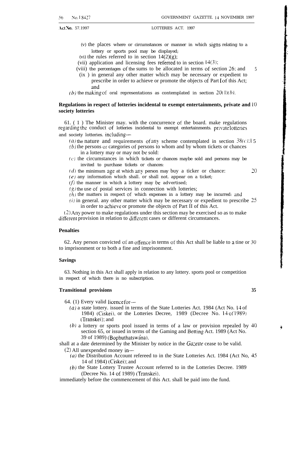- (v) the places where or circumstances or manner in which signs relating to a lottery or sports pool may be displayed;
- (vi) the rules referred to in section  $14(2)(g)$ ;

(vii) application and licensing fees refened to in section 14(3);

- (viii) the percentages of the sums to be allocated in terms of section 26: and (ix ) in general any other matter which may be necessary or expedient to 5
	- prescribe in order to achieve or promote the objects of Part 1 of this Act; and
- (b) the making of oral representations as contemplated in section  $20(1)(b)$ .

#### **Regulations in respect of lotteries incidental to exempt entertainments, private and 10 society lotteries**

61. ( 1 ) The Minister may. with the concurrence of the board. make regulations regarding the conduct of lotteries incidental to exempt entertainments. privatelotteries and society lotteries. including—

- (a) the nature and requirements of any scheme contemplated in section  $38(c)$ : i 5
- $(b)$  the persons or categories of persons to whom and by whom tickets or chances in a lottery may or may not be sold:
- $(c)$  the circumstances in which tickets or chances maybe sold and persons may be invited to purchase tickets or chances:
- $(d)$  the minimum age at which any person may buy a ticker or chance:  $20$
- (e) any information which shall. or shall not. appear on a ticket;

 $(f)$  the manner in which a lottery may be advertised;

 $(g)$  the use of postal services in connection with lotteries;

- $(h)$  the matters in respect of which expenses in a lottery may be incurred: and
- $(i)$  in general. any other matter which may be necessary or expedient to prescribe  $25$ in order to achieve or promote the objects of Part II of this Act.

(2) Any power to make regulations under this section may be exercised so as to make different provision in relation to different cases or different circumstances.

#### **Penalties**

62. Any person convicted of an offence in terms of this Act shall be liable to a tine or 30 to imprisonment or to both a fine and imprisonment.

#### **Savings**

63. Nothing in this Act shall apply in relation to any lottery. sports pool or competition in respect of which there is no subscription.

#### **Transitional provisions 35**

64. (1) Every valid Iicence for—

- (a) a state lottery. issued in terms of the State Lotteries Act. 1984 (Act No. 14 of 1984) (Ciskei), or the Lotteries Decree, 1989 (Decree No. 14 of 1989) (Transkei); and
- *(b)* a lottery or sports pool issued in terms of a law or provision repealed by 40 section 65, or issued in terms of the Gaming and Betting Act. 1989 (Act No. 39 of 1989) (Bophuthatswana).

shall at a date determined by the Minister by notice in the *Ga:ette* cease to be valid. (2) All unexpended money in—

- $(a)$  the Distribution Account refereed to in the State Lotteries Act. 1984 (Act No, 45) 14 of 1984) (Ciskei); and
- (b) the State Lottery Trustee Account referred to in the Lotteries Decree. 1989 (Decree No. 14 of 1989) (Transkei),

immediately before the commencement of this Act. shall be paid into the fund.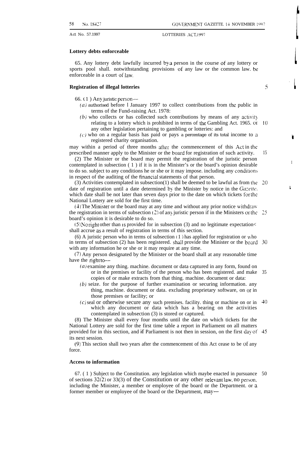#### **Lottery debts enforceable**

65. Any lottery debt lawfully incurred by a person in the course of' any lottery or sports pool shall. notwithstanding provisions of any law or the common law. be enforceable in a court of law,

#### **Registration of illegal lotteries**

**5**

**I**

i

I

66. ( 1 ) Any juristic person—

- (a) authorised before 1 January 1997 to collect contributions from the public in terms of the Fund-raising Act. 1978:
- $(b)$  who collects or has collected such contributions by means of any activity relating to a lottery which is prohibited in terms of the Gambling Act. 1965. or any other legislation pertaining to gambling or lotteries: and *[0*
- $(c)$  who on a regular basis has paid or pays a percentage of its total income to a registered charity organisation.

may within a period of three months after the commencement of this Act in the prescribed manner apply to the Minister or the board for registration of such activity. 15

(2) The Minister or the board may permit the registration of the juristic person contemplated in subsection ( 1 ) if it is in the Minister's or the board's opinion desirable to do so. subject to any conditions he or she or it may impose. including any conditions in respect of the auditing of the financial statements of that person.

(3) Activities contemplated in subsection(1) shall be deemed to be lawful as from the date of registration until a date determined by the Minister by notice in the *Gazette*. which date shall be not later than seven days prior to the date on which tickets for the National Lottery are sold for the first time. 20

 $(4)$  The Minister or the board may at any time and without any prior notice withdraw the registration in terms of subsection (2) of any juristic person if in the Ministers or the 25 board's opinion it is desirable to do so.

 $(5)$  No right other than is provided for in subsection (3) and no legitimate expectation $\lt$ shall accrue as a result of registration in terms of this section.

(6) A juristic person who in terms of subsection  $(1)$  has applied for registration or who in terms of subsection  $(2)$  has been registered. shall provide the Minister or the board  $30$ with any information he or she or it may require at any time.

(7) Any person designated by the Minister or the board shall at any reasonable time have the right to-

- $(a)$  examine any thing. machine. document or data captured in any form, found on or in the premises or facility of the person who has been registered. and make copies of or make extracts from that thing. machine. document or data: 35
- (b) seize. for the purpose of further examination or securing information. any thing, machine. document or data. excluding proprietary software, on or in those premises or facility; or
- $(c)$  seal or otherwise secure any such premises. facility. thing or machine on or in which any document or data which has a bearing on the activities contemplated in subsection (3) is stored or captured. 40

(8) The Minister shall every four months until the date on which tickets for the National Lottery are sold for the first time table a report in Parliament on all matters provided for in this section, and if Parliament is not then in session, on the first day of 45 its next session.

(9) This section shall two years after the commencement of this Act cease to be of any force.

#### **Access to information**

67. ( 1 ) Subject to the Constitution. any legislation which maybe enacted in pursuance 50 of sections 32(2) or 33(3) of the Constitution or any other relevant law, no person, including the Minister, a member or employee of the board or the Department. or a former member or employee of the board or the Department, may—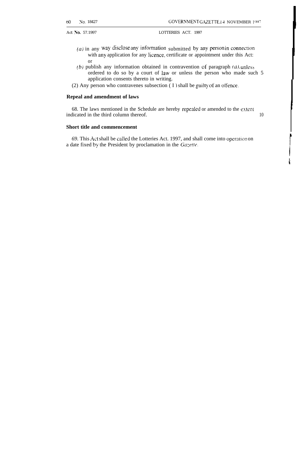j i

Act No. 57.1997 LOTTERIES ACT. 1997

- (a) in any way disclose any information submitted by any person in connection with any application for any licence, certificate or appointment under this Act: or
- (b) publish any information obtained in contravention of paragraph  $(a)$  unless ordered to do so by a court of law or unless the person who made such 5 application consents thereto in writing.
- (2) Any person who contravenes subsection ( I ) shall be guilty of an offence.

#### **Repeal and amendment of laws**

68. The laws mentioned in the Schedule are hereby repealed or amended to the extent indicated in the third column thereof. 10

#### **Short title and commencement**

69. This Act shall be called the Lotteries Act. 1997, and shall come into operation on a date fixed by the President by proclamation in the  $Ga\zeta$ ette.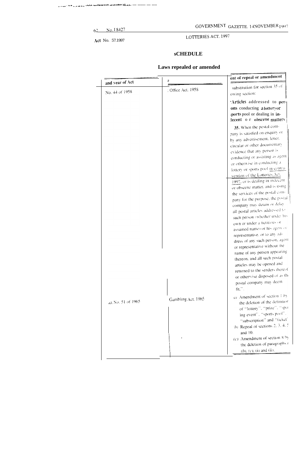62 No. I 8427

Act No. 57.1997

## GOVERNMENT GAZETTE. 14 NOVEMBER  $\rm I$  907

LOTTERIES ACT. 1997

## **sCHEDULE**

|                                   | s                  | ent of repeal or amendment                                                                                                                                                                                                                                                                                                                                                                                                                                                                                                                                                                                                                                                                                                                                                                                                                                                                                                    |
|-----------------------------------|--------------------|-------------------------------------------------------------------------------------------------------------------------------------------------------------------------------------------------------------------------------------------------------------------------------------------------------------------------------------------------------------------------------------------------------------------------------------------------------------------------------------------------------------------------------------------------------------------------------------------------------------------------------------------------------------------------------------------------------------------------------------------------------------------------------------------------------------------------------------------------------------------------------------------------------------------------------|
| and year of Act<br>No. 44 of 1958 | : Office Act. 1958 | substitution for section 35 of<br>owing section:                                                                                                                                                                                                                                                                                                                                                                                                                                                                                                                                                                                                                                                                                                                                                                                                                                                                              |
|                                   |                    | Articles addressed to per-<br>ons conducting a lotteryor<br>ports pool or dealing in in-<br>lecent o r obscene matters                                                                                                                                                                                                                                                                                                                                                                                                                                                                                                                                                                                                                                                                                                                                                                                                        |
|                                   |                    | 35. When the postal com-<br>pany is satisfied on enquiry or<br>by any advertisement, letter,<br>circular or other documentary<br>evidence that any person is<br>conducting or assisting as agent<br>or otherwise in conducting a<br>lottery or sports pool in contra-<br>vention of the Lotteries Act.<br>1997, or is dealing in indecent<br>or obscene matter, and is using<br>the services of the postal com-<br>pany for the purpose, the postal<br>company may detain or delay<br>all postal articles addressed to<br>such person (whether under his<br>own or under a fictitious or<br>assumed name) or his agent or<br>representative, or to any ad-<br>dress of any such person, agent<br>or representative without the<br>name of any person appearing<br>thereon, and all such postal<br>articles may be opened and<br>returned to the senders thereof<br>or otherwise disposed of as the<br>postal company may deem |
| et No. 51 of 1965                 | Gambling Act, 1965 | fit.".<br>a) Amendment of section 1 by<br>the deletion of the definition<br>of "lottery", "prize", "spot<br>ing event", "sports pool".<br>"subscription" and "ticket"                                                                                                                                                                                                                                                                                                                                                                                                                                                                                                                                                                                                                                                                                                                                                         |
|                                   |                    | (b) Repeal of sections 2, 3, 4, 5<br>and 10.<br>(c) Amendment of section $8 \text{ by}$<br>the deletion of paragraphs (<br>$(b)$ , $(c)$ , (i) and (ii).                                                                                                                                                                                                                                                                                                                                                                                                                                                                                                                                                                                                                                                                                                                                                                      |

# **Laws repealed or amended**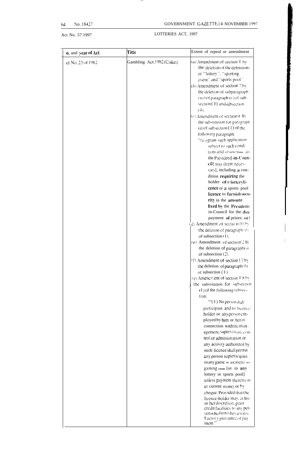64 No. 18427 GOVERNMENT GAZETTE.14 NOVEMBER 1997

# Act No. 57.1997 LOTTERIES ACT, 1997

| Gambling Act.1982(Ciskei)<br>ct No. 23 of 1982<br>of "lottery". "sporting<br>event" and "sports pool"<br>section (1) and subsection<br>$(4)$ .<br>following paragraph:<br>dition requiring the<br>cence or a sports pool<br>licence to furnish secu-<br>rity in the amount<br>of subsection (I).<br>(e) Amendment of section] 2 h\<br>the deletion of paragraph $\omega$<br>of subsection (2).<br>$(1)$ Amendment of section 17 by<br>the deletion of paragraph by<br>of subsection $(1)$ .<br>(g) Amenchient of section I 8 by<br>the substitution for subsection<br>$(I)$ of the following subsec-<br>tion:<br>"(I) No personshall<br>participate, and no licence-<br>trol or administration or<br>any person to partic ipate.<br>gaming room [Or in any | <b>o.</b> and year of Act | Title | Extent of repeal or amendment                                                                                                                                                                                                                       |
|------------------------------------------------------------------------------------------------------------------------------------------------------------------------------------------------------------------------------------------------------------------------------------------------------------------------------------------------------------------------------------------------------------------------------------------------------------------------------------------------------------------------------------------------------------------------------------------------------------------------------------------------------------------------------------------------------------------------------------------------------------|---------------------------|-------|-----------------------------------------------------------------------------------------------------------------------------------------------------------------------------------------------------------------------------------------------------|
|                                                                                                                                                                                                                                                                                                                                                                                                                                                                                                                                                                                                                                                                                                                                                            |                           |       | (a) Amendment of section I by<br>the deletion of the definitions<br>$(b)$ Amendment of section 7 by<br>the deletion of subparagraph<br>(iii) of paragraph (c) of sub-<br>$(c)$ Amendment of section 9 $ h\rangle$<br>the substitution for paragraph |
|                                                                                                                                                                                                                                                                                                                                                                                                                                                                                                                                                                                                                                                                                                                                                            |                           |       | $(a)$ of subsection $(1)$ of the<br>"(a rgrant such application<br>subject to such condi-<br>tions and r?\tric?[ion. il><br>the President[-in-Coun-<br>cil] may deem neces-                                                                         |
|                                                                                                                                                                                                                                                                                                                                                                                                                                                                                                                                                                                                                                                                                                                                                            |                           |       | sary[, including a con-<br>holder of u lotteryli-                                                                                                                                                                                                   |
|                                                                                                                                                                                                                                                                                                                                                                                                                                                                                                                                                                                                                                                                                                                                                            |                           |       |                                                                                                                                                                                                                                                     |
|                                                                                                                                                                                                                                                                                                                                                                                                                                                                                                                                                                                                                                                                                                                                                            |                           |       |                                                                                                                                                                                                                                                     |
|                                                                                                                                                                                                                                                                                                                                                                                                                                                                                                                                                                                                                                                                                                                                                            |                           |       | fixed by the President-                                                                                                                                                                                                                             |
|                                                                                                                                                                                                                                                                                                                                                                                                                                                                                                                                                                                                                                                                                                                                                            |                           |       | in-Council for the due                                                                                                                                                                                                                              |
|                                                                                                                                                                                                                                                                                                                                                                                                                                                                                                                                                                                                                                                                                                                                                            |                           |       | payment of prizes: or                                                                                                                                                                                                                               |
|                                                                                                                                                                                                                                                                                                                                                                                                                                                                                                                                                                                                                                                                                                                                                            |                           |       | (d) Amendment of section 10 by                                                                                                                                                                                                                      |
|                                                                                                                                                                                                                                                                                                                                                                                                                                                                                                                                                                                                                                                                                                                                                            |                           |       | the deletion of paragraph (b)                                                                                                                                                                                                                       |
|                                                                                                                                                                                                                                                                                                                                                                                                                                                                                                                                                                                                                                                                                                                                                            |                           |       |                                                                                                                                                                                                                                                     |
|                                                                                                                                                                                                                                                                                                                                                                                                                                                                                                                                                                                                                                                                                                                                                            |                           |       |                                                                                                                                                                                                                                                     |
|                                                                                                                                                                                                                                                                                                                                                                                                                                                                                                                                                                                                                                                                                                                                                            |                           |       |                                                                                                                                                                                                                                                     |
|                                                                                                                                                                                                                                                                                                                                                                                                                                                                                                                                                                                                                                                                                                                                                            |                           |       |                                                                                                                                                                                                                                                     |
|                                                                                                                                                                                                                                                                                                                                                                                                                                                                                                                                                                                                                                                                                                                                                            |                           |       |                                                                                                                                                                                                                                                     |
|                                                                                                                                                                                                                                                                                                                                                                                                                                                                                                                                                                                                                                                                                                                                                            |                           |       |                                                                                                                                                                                                                                                     |
|                                                                                                                                                                                                                                                                                                                                                                                                                                                                                                                                                                                                                                                                                                                                                            |                           |       |                                                                                                                                                                                                                                                     |
|                                                                                                                                                                                                                                                                                                                                                                                                                                                                                                                                                                                                                                                                                                                                                            |                           |       |                                                                                                                                                                                                                                                     |
|                                                                                                                                                                                                                                                                                                                                                                                                                                                                                                                                                                                                                                                                                                                                                            |                           |       |                                                                                                                                                                                                                                                     |
|                                                                                                                                                                                                                                                                                                                                                                                                                                                                                                                                                                                                                                                                                                                                                            |                           |       |                                                                                                                                                                                                                                                     |
|                                                                                                                                                                                                                                                                                                                                                                                                                                                                                                                                                                                                                                                                                                                                                            |                           |       | holder or any person em-<br>ployed by him or her in<br>connection with the man-                                                                                                                                                                     |
|                                                                                                                                                                                                                                                                                                                                                                                                                                                                                                                                                                                                                                                                                                                                                            |                           |       | agement, supervision, con-                                                                                                                                                                                                                          |
|                                                                                                                                                                                                                                                                                                                                                                                                                                                                                                                                                                                                                                                                                                                                                            |                           |       | any activity authorized by<br>such licence shall permit                                                                                                                                                                                             |
|                                                                                                                                                                                                                                                                                                                                                                                                                                                                                                                                                                                                                                                                                                                                                            |                           |       | in any game in a casino or                                                                                                                                                                                                                          |
|                                                                                                                                                                                                                                                                                                                                                                                                                                                                                                                                                                                                                                                                                                                                                            |                           |       | lottery or sports pool]<br>unless payment therefor is                                                                                                                                                                                               |
| in current money or by                                                                                                                                                                                                                                                                                                                                                                                                                                                                                                                                                                                                                                                                                                                                     |                           |       | cheque: Provided that the<br>licence-holder may, at his                                                                                                                                                                                             |
| or her discretion, grant<br>ment."                                                                                                                                                                                                                                                                                                                                                                                                                                                                                                                                                                                                                                                                                                                         |                           |       | credit facilities to any per-<br>son who furnishes a statis-<br>I actor viguarantee of pay                                                                                                                                                          |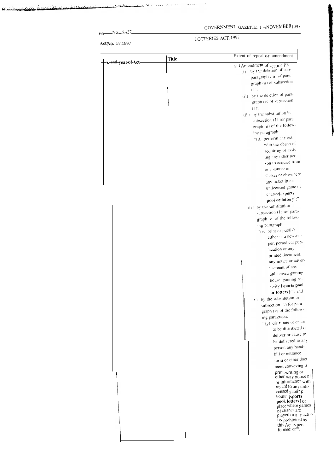# GOVERNMENT GAZETTE. I 4NOVEMBER1997

 $66$  No, 18427

# LOTTERIES ACT. 1997

Act No. 57.1997

 $\overline{\phantom{a}}$  ), and year of Act—

| Title | Extent of repeal or amendment                                                                       |
|-------|-----------------------------------------------------------------------------------------------------|
|       | $(h)$ Amendment of section $19-$<br>(i) by the deletion of sub-                                     |
|       | paragraph (iii) of para-<br>graph $(a)$ of subsection<br>4 D.                                       |
|       | (ii) by the deletion of para-<br>graph (c) of subsection<br>$(1)$ :<br>(iii) by the substitution in |

|  | (ii) by the deletion of para-               |
|--|---------------------------------------------|
|  | graph (c) of subsection                     |
|  | $(1)$ :                                     |
|  | (iii) by the substitution in                |
|  | subsection (1) for para                     |
|  | graph (d) of the follow-                    |
|  | ing paragraph:                              |
|  | $\lceil \cdot (d) \rceil$ perform any act   |
|  | with the object of                          |
|  | acquiring or assis                          |
|  | ing any other per-                          |
|  | son to acquire from                         |
|  | any source in                               |
|  | Ciskei or elsewhere                         |
|  | any ticket in an                            |
|  |                                             |
|  | unlicensed game of                          |
|  | chance[, sports                             |
|  | pool or lottery];":                         |
|  | (iv) by the substitution in                 |
|  | subsection (1) for para-                    |
|  | graph (e) of the follow-                    |
|  | ing paragraph:                              |
|  | $\lceil \cdot (e) \rceil$ print or publish. |
|  | either in a newspa-                         |
|  | per, periodical pub-                        |
|  | lication or any                             |
|  | printed document.                           |
|  | any notice or adver-                        |
|  | tisement of any                             |
|  | unlicensed gaming                           |
|  | house, gaming ac-                           |
|  | tivity [sports pool                         |
|  | or lottery];"; and                          |
|  | $(v)$ by the substitution in                |
|  | subsection (1) for para-                    |
|  | graph (g) of the follow-                    |
|  | ing paragraph:                              |
|  | "(g) distribute or cause                    |
|  | to be distributed or                        |
|  | deliver or cause to                         |
|  | be delivered to any                         |
|  | person any hand-                            |
|  | bill or entrance                            |
|  | form or other doct                          |
|  | ment conveying in                           |
|  | print. writing or                           |
|  | other way, notice of                        |
|  | or information with                         |
|  | regard to any unli-                         |
|  | censed gaming-                              |
|  | house [sports]<br>pool, lottery or          |
|  | place where games                           |
|  | of chance are                               |
|  | played or any activ-                        |
|  | ity prohibited by<br>this Act is per-       |
|  | $lormed: or 5$ .                            |
|  |                                             |
|  |                                             |